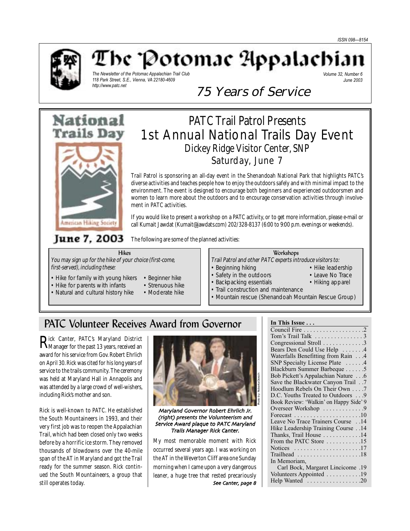

# The 'Potomac Appalachia

*The Newsletter of the Potomac Appalachian Trail Club 118 Park Street, S.E., Vienna, VA 22180-4609 http://www.patc.net*

*Volume 32, Number 6 June 2003*

# 75 Years of Service



# PATC Trail Patrol Presents 1st Annual National Trails Day Event Dickey Ridge Visitor Center, SNP Saturday, June 7

Trail Patrol is sponsoring an all-day event in the Shenandoah National Park that highlights PATC's diverse activities and teaches people how to enjoy the outdoors safely and with minimal impact to the environment. The event is designed to encourage both beginners and experienced outdoorsmen and women to learn more about the outdoors and to encourage conservation activities through involvement in PATC activities.

If you would like to present a workshop on a PATC activity, or to get more information, please e-mail or call Kumait Jawdat (Kumait@jawdats.com) 202/328-8137 (6:00 to 9:00 p.m. evenings or weekends).

June 7, 2003

The following are some of the planned activities:

You may sign up for the hike of your choice (first-come, first-served), including these:

Hikes

- Hike for family with young hikers Beginner hike
- Hike for parents with infants Strenuous hike
- Natural and cultural history hike Moderate hike
- 
- -

### Workshops

- Trail Patrol and other PATC experts introduce visitors to:
- Beginning hiking Hike leadership
	-
- Safety in the outdoors Leave No Trace
- Backpacking essentials Hiking apparel
- Trail construction and maintenance
- Mountain rescue (Shenandoah Mountain Rescue Group)

## PATC Volunteer Receives Award from Governor

 $\mathbf{R}^\text{ick}$  Canter, PATC's Maryland District<br>Manager for the past 13 years, received an award for his service from Gov. Robert Ehrlich on April 30. Rick was cited for his long years of service to the trails community. The ceremony was held at Maryland Hall in Annapolis and was attended by a large crowd of well-wishers, including Rick's mother and son.

Rick is well-known to PATC. He established the South Mountaineers in 1993, and their very first job was to reopen the Appalachian Trail, which had been closed only two weeks before by a horrific ice storm. They removed thousands of blowdowns over the 40-mile span of the AT in Maryland and got the Trail ready for the summer season. Rick continued the South Mountaineers, a group that still operates today.



Maryland Governor Robert Ehrlich Jr (right) presents the Volunteerism and Service Award plaque to PATC Maryland Trails Manager Rick Canter

My most memorable moment with Rick occurred several years ago. I was working on the AT in the Weverton Cliff area one Sunday morning when I came upon a very dangerous leaner, a huge tree that rested precariously See Canter, page 8

### **In This Issue . . .**

| Congressional Stroll 3                                         |
|----------------------------------------------------------------|
| Bears Den Could Use Help 4                                     |
| Waterfalls Benefitting from Rain 4                             |
| SNP Specialty License Plate 4                                  |
| Blackburn Summer Barbeque 5                                    |
| Bob Pickett's Appalachian Nature 6                             |
| 7. Save the Blackwater Canyon Trail                            |
| Hoodlum Rebels On Their Own 7                                  |
| D.C. Youths Treated to Outdoors 9                              |
| Book Review: 'Walkin' on Happy Side' 9                         |
|                                                                |
| Forecast $\ldots \ldots \ldots \ldots \ldots \ldots \ldots 10$ |
| Leave No Trace Trainers Course 14                              |
| Hike Leadership Training Course 14                             |
| Thanks, Trail House 14                                         |
| From the PATC Store 15                                         |
| Notices $\dots \dots \dots \dots \dots \dots \dots \dots 17$   |
|                                                                |
| In Memoriam,                                                   |
| 19. Carl Bock, Margaret Lincicome                              |
| Volunteers Appointed 19                                        |
| Help Wanted 20                                                 |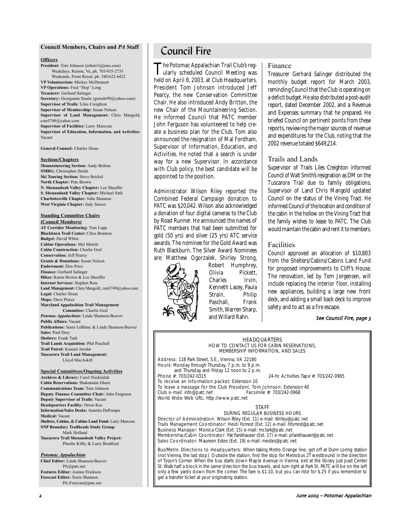### **Council Members, Chairs and** *PA* **Staff**

### **Officers**

**President:** Tom Johnson (johnts3@juno.com) Weekdays, Reston, Va, ph. 703/435-2755 Weekends, Front Royal, ph. 540/622-6422 **VP Volunteerism:** Mickey McDermott **VP Operations:** Fred "Hop" Long **Treasurer:** Gerhard Salinger **Secretary:** Georgeann Smale (gsmale99@yahoo.com) **Supervisor of Trails:** Liles Creighton **Supervisor of Membership:** Susan Nelson **Supervisor of Land Management:** Chris Mangold, csm5749@yahoo.com **Supervisor of Facilities:** Larry Marcoux **Supervisor of Education, Information, and Activities:** Vacant

**General Counsel:** Charles Sloan

#### **Sections/Chapters**

**Mountaineering Section:** Andy Britton **SMRG:** Christopher Smith **Ski Touring Section:** Steve Brickel **North Chapter:** Pete Brown **N. Shenandoah Valley Chapter:** Lee Sheaffer **S. Shenandoah Valley Chapter:** Michael Seth **Charlottesville Chapter:** John Shannon **West Virginia Chapter:** Judy Smoot

### **Standing Committee Chairs**

**(Council Members) AT Corridor Monitoring:** Tom Lupp **Blackburn Trail Center:** Chris Brunton **Budget:** David White **Cabins Operations:** Mel Merritt **Cabin Construction:** Charlie Graf **Conservation:** Jeff Pearcy **Grants & Donations:** Susan Nelson **Endowment:** Don Price **Finance:** Gerhard Salinger **Hikes:** Karen Brown & Lee Sheaffer **Internet Services:** Stephen Raia **Land Management:** Chris Mangold, csm5749@yahoo.com **Legal:** Charles Sloan **Maps:** Dave Pierce **Maryland Appalachian Trail Management Committee:** Charlie Graf *Potomac Appalachian:* Linda Shannon-Beaver **Public Affairs:** Vacant **Publications:** Susie LeBlanc & Linda Shannon-Beaver **Sales:** Paul Dery **Shelters:** Frank Turk

**Trail Lands Acquisition:** Phil Paschall **Trail Patrol:** Kumait Jawdat **Tuscarora Trail Land Management:** Lloyd MacAskill

#### **Special Committees/Ongoing Activities Archives & Library:** Carol Niedzialek

**Cabin Reservations:** Shakuntala Ghare **Communications Team:** Tom Johnson **Deputy Finance Committee Chair:** John Ferguson **Deputy Supervisor of Trails:** Vacant **Headquarters Facility:** Orron Kee **Information/Sales Desks:** Annetta DePompa **Medical:** Vacant **Shelters, Cabins, & Cabins Land Fund:** Larry Marcoux **SNP Boundary Trailheads Study Group:** Mark Holland **Tuscarora Trail Shenandoah Valley Project:** Phoebe Kilby & Larry Bradford

#### *Potomac Appalachian*

**Chief Editor:** Linda Shannon-Beaver PA@patc.net **Features Editor:** Joanne Erickson **Forecast Editor:** Suzie Shannon PA-Forecast@patc.net

## Council Fire

The Potomac Appalachian Trail Club's reg-ularly scheduled Council Meeting was held on April 8, 2003, at Club Headquarters. President Tom Johnson introduced Jeff Pearcy, the new Conservation Committee Chair. He also introduced Andy Britton, the new Chair of the Mountaineering Section. He informed Council that PATC member John Ferguson has volunteered to help create a business plan for the Club. Tom also announced the resignation of Mal Fordham, Supervisor of Information, Education, and Activities. He noted that a search is under way for a new Supervisor. In accordance with Club policy, the best candidate will be appointed to the position.

Administrator Wilson Riley reported the Combined Federal Campaign donation to PATC was \$20,042. Wilson also acknowledged a donation of four digital cameras to the Club by Road Runner. He announced the names of PATC members that had been submitted for gold (50 yrs) and silver (25 yrs) ATC service awards. The nominee for the Gold Award was Ruth Blackburn. The Silver Award Nominees are: Matthew Ogorzalek, Shirley Strong,



Robert Humphrey, Olivia Pickett, Charles Irvin, Kenneth Lacey, Paula Strain, Philip Paschall, Frank Smith, Warren Sharp, and Willard Rahn.

### Finance

Treasurer Gerhard Salinger distributed the monthly budget report for March 2003, reminding Council that the Club is operating on a deficit budget. He also distributed a post-audit report, dated December 2002, and a Revenue and Expenses summary that he prepared. He briefed Council on pertinent points from these reports, reviewing the major sources of revenue and expenditures for the Club, noting that the 2002 revenue totaled \$649,214.

### Trails and Lands

Supervisor of Trails Liles Creighton informed Council of Walt Smith's resignation as DM on the Tuscarora Trail due to family obligations. Supervisor of Land Chris Mangold updated Council on the status of the Vining Tract. He informed Council of the location and condition of the cabin in the hollow on the Vining Tract that the family wishes to lease to PATC. The Club would maintain the cabin and rent it to members.

### Facilities

Council approved an allocation of \$10,883 from the Shelters/Cabins/Cabins Land Fund for proposed improvements to Cliff's House. The renovation, led by Tom Jorgensen, will include replacing the interior floor, installing new appliances, building a large new front deck, and adding a small back deck to improve safety and to act as a fire escape.

### See Council Fire, page 3

#### HEADQUARTERS HOW TO CONTACT US FOR CABIN RESERVATIONS, MEMBERSHIP INFORMATION, AND SALES

Address: 118 Park Street, S.E., Vienna, VA 22180 Hours: Monday through Thursday, 7 p.m. to 9 p.m. and Thursday and Friday 12 noon to 2 p.m.<br>Phone #: 703/242-0315 To receive an information packet: Extension 10

24-hr. Activities Tape #: 703/242-0965

To leave a message for the Club President, Tom Johnson: Extension 40<br>Club e-mail: info@patc.net Facsimile #: 703/242-0968 Club e-mail: info@patc.net World Wide Web URL: http://www.patc.net

#### STAFF

DURING REGULAR BUSINESS HOURS Director of Administration: Wilson Riley (Ext. 11) e-mail: Wriley@patc.net Trails Management Coordinator: Heidi Forrest (Ext. 12) e-mail: hforrest@patc.net Business Manager: Monica Clark (Ext. 15) e-mail: mclark@patc.net Membership/Cabin Coordinator: Pat Fankhauser (Ext. 17) e-mail: pfankhauser@patc.net Sales Coordinator: Maureen Estes (Ext. 19) e-mail: mestes@patc.net

Bus/Metro Directions to Headquarters: When taking Metro Orange line, get off at Dunn Loring station (not Vienna, the last stop). Outside the station, find the stop for Metrobus 2T westbound in the direction of Tyson's Corner. When the bus starts down Maple Avenue in Vienna, exit at the library just past Center St. Walk half a block in the same direction the bus travels, and turn right at Park St. PATC will be on the left only a few yards down from the corner. The fare is \$1.10, but you can ride for \$.25 if you remember to get a transfer ticket at your originating station.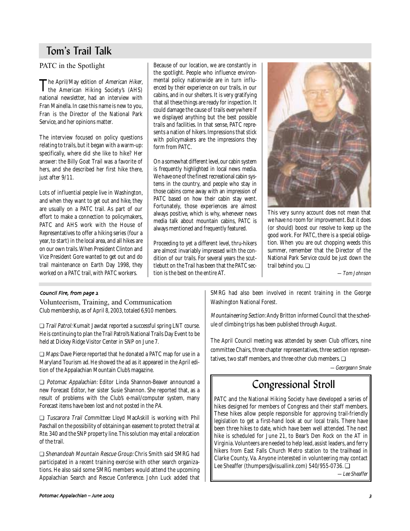## Tom's Trail Talk

PATC in the Spotlight

The April/May edition of *American Hiker*,<br>the American Hiking Society's (AHS) national newsletter, had an interview with Fran Mainella. In case this name is new to you, Fran is the Director of the National Park Service, and her opinions matter.

The interview focused on policy questions relating to trails, but it began with a warm-up: specifically, where did she like to hike? Her answer: the Billy Goat Trail was a favorite of hers, and she described her first hike there, just after  $9/11$ .

Lots of influential people live in Washington, and when they want to get out and hike, they are usually on a PATC trail. As part of our effort to make a connection to policymakers, PATC and AHS work with the House of Representatives to offer a hiking series (four a year, to start) in the local area, and all hikes are on our own trails. When President Clinton and Vice President Gore wanted to get out and do trail maintenance on Earth Day 1998, they worked on a PATC trail, with PATC workers.

Because of our location, we are constantly in the spotlight. People who influence environmental policy nationwide are in turn influenced by their experience on our trails, in our cabins, and in our shelters. It is very gratifying that all these things are ready for inspection. It could damage the cause of trails everywhere if we displayed anything but the best possible trails and facilities. In that sense, PATC represents a nation of hikers. Impressions that stick with policymakers are the impressions they form from PATC.

On a somewhat different level, our cabin system is frequently highlighted in local news media. We have one of the finest recreational cabin systems in the country, and people who stay in those cabins come away with an impression of PATC based on how their cabin stay went. Fortunately, those experiences are almost always positive, which is why, whenever news media talk about mountain cabins, PATC is always mentioned and frequently featured.

Proceeding to yet a different level, thru-hikers are almost invariably impressed with the condition of our trails. For several years the scuttlebutt on the Trail has been that the PATC section is the best on the entire AT.



This very sunny account does not mean that we have no room for improvement. But it does (or should) boost our resolve to keep up the good work. For PATC, there is a special obligation. When you are out chopping weeds this summer, remember that the Director of the National Park Service could be just down the trail behind you. ❏

—Tom Johnson

### Council Fire, from page 2

Volunteerism, Training, and Communication Club membership, as of April 8, 2003, totaled 6,910 members.

❏ Trail Patrol: Kumait Jawdat reported a successful spring LNT course. He is continuing to plan the Trail Patrol's National Trails Day Event to be held at Dickey Ridge Visitor Center in SNP on June 7.

❏ Maps: Dave Pierce reported that he donated a PATC map for use in a Maryland Tourism ad. He showed the ad as it appeared in the April edition of the Appalachian Mountain Club's magazine.

❏ Potomac Appalachian: Editor Linda Shannon-Beaver announced a new Forecast Editor, her sister Susie Shannon. She reported that, as a result of problems with the Club's e-mail/computer system, many Forecast items have been lost and not posted in the PA.

❏ Tuscarora Trail Committee: Lloyd MacAskill is working with Phil Paschall on the possibility of obtaining an easement to protect the trail at Rte. 340 and the SNP property line. This solution may entail a relocation of the trail.

❏ Shenandoah Mountain Rescue Group: Chris Smith said SMRG had participated in a recent training exercise with other search organizations. He also said some SMRG members would attend the upcoming Appalachian Search and Rescue Conference. John Luck added that

SMRG had also been involved in recent training in the George Washington National Forest.

Mountaineering Section: Andy Britton informed Council that the schedule of climbing trips has been published through August.

The April Council meeting was attended by seven Club officers, nine committee Chairs, three chapter representatives, three section representatives, two staff members, and three other club members. ❏

—Georgeann Smale

# Congressional Stroll

PATC and the National Hiking Society have developed a series of hikes designed for members of Congress and their staff members. These hikes allow people responsible for approving trail-friendly legislation to get a first-hand look at our local trails. There have been three hikes to date, which have been well attended. The next hike is scheduled for June 21, to Bear's Den Rock on the AT in Virginia. Volunteers are needed to help lead, assist leaders, and ferry hikers from East Falls Church Metro station to the trailhead in Clarke County, Va. Anyone interested in volunteering may contact Lee Sheaffer (thumpers@visuallink.com) 540/955-0736. ❏

—Lee Sheaffer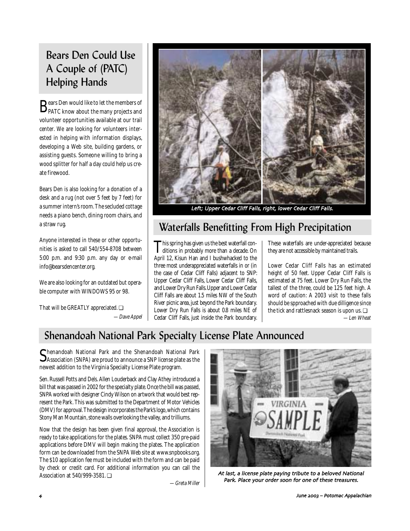# Bears Den Could Use A Couple of (PATC) Helping Hands

 $\mathbf{B}_\mathrm{PATC}$  know about the many projects and volunteer opportunities available at our trail center. We are looking for volunteers interested in helping with information displays, developing a Web site, building gardens, or assisting guests. Someone willing to bring a wood splitter for half a day could help us create firewood.

Bears Den is also looking for a donation of a desk and a rug (not over 5 feet by 7 feet) for a summer intern's room. The secluded cottage needs a piano bench, dining room chairs, and a straw rug.

Anyone interested in these or other opportunities is asked to call 540/554-8708 between 5:00 p.m. and 9:30 p.m. any day or e-mail info@bearsdencenter.org.

We are also looking for an outdated but operable computer with WINDOWS 95 or 98.

That will be GREATLY appreciated. ❏ —Dave Appel



Left; Upper Cedar Cliff Falls, right, lower Cedar Cliff Falls.

# Waterfalls Benefitting From High Precipitation

This spring has given us the best waterfall conditions in probably more than a decade. On April 12, Kisun Han and I bushwhacked to the three most underappreciated waterfalls in or (in the case of Cedar Cliff Falls) adjacent to SNP: Upper Cedar Cliff Falls, Lower Cedar Cliff Falls, and Lower Dry Run Falls. Upper and Lower Cedar Cliff Falls are about 1.5 miles NW of the South River picnic area, just beyond the Park boundary. Lower Dry Run Falls is about 0.8 miles NE of Cedar Cliff Falls, just inside the Park boundary. These waterfalls are under-appreciated because they are not accessible by maintained trails.

Lower Cedar Cliff Falls has an estimated height of 50 feet. Upper Cedar Cliff Falls is estimated at 75 feet. Lower Dry Run Falls, the tallest of the three, could be 125 feet high. A word of caution: A 2003 visit to these falls should be spproached with due dilligence since the tick and rattlesnack season is upon us. ❏

—Len Wheat

# Shenandoah National Park Specialty License Plate Announced

Shenandoah National Park and the Shenandoah National Park<br>Association (SNPA) are proud to announce a SNP license plate as the newest addition to the Virginia Specialty License Plate program.

Sen. Russell Potts and Dels. Allen Louderback and Clay Athey introduced a bill that was passed in 2002 for the specialty plate. Once the bill was passed, SNPA worked with designer Cindy Wilson on artwork that would best represent the Park. This was submitted to the Department of Motor Vehicles (DMV) for approval. The design incorporates the Park's logo, which contains Stony Man Mountain, stone walls overlooking the valley, and trilliums.

Now that the design has been given final approval, the Association is ready to take applications for the plates. SNPA must collect 350 pre-paid applications before DMV will begin making the plates. The application form can be downloaded from the SNPA Web site at www.snpbooks.org. The \$10 application fee must be included with the form and can be paid by check or credit card. For additional information you can call the Association at 540/999-3581. ❏

—Greta Miller



At last, a license plate paying tribute to a beloved National Park. Place your order soon for one of these treasures.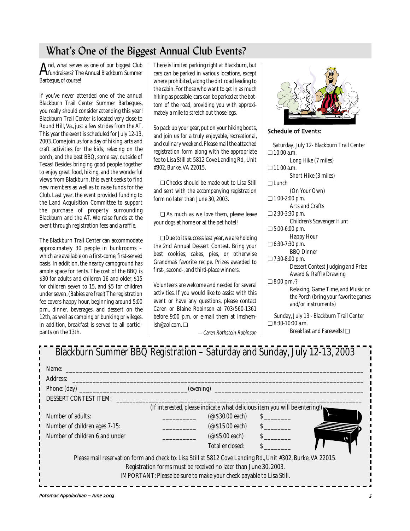## What's One of the Biggest Annual Club Events?

And, what serves as one of our biggest Club fundraisers? The Annual Blackburn Summer Barbeque, of course!

If you've never attended one of the annual Blackburn Trail Center Summer Barbeques, you really should consider attending this year! Blackburn Trail Center is located very close to Round Hill, Va., just a few strides from the AT. This year the event is scheduled for July 12-13, 2003. Come join us for a day of hiking, arts and craft activities for the kids, relaxing on the porch, and the best BBQ, some say, outside of Texas! Besides bringing good people together to enjoy great food, hiking, and the wonderful views from Blackburn, this event seeks to find new members as well as to raise funds for the Club. Last year, the event provided funding to the Land Acquisition Committee to support the purchase of property surrounding Blackburn and the AT. We raise funds at the event through registration fees and a raffle.

The Blackburn Trail Center can accommodate approximately 30 people in bunkrooms – which are available on a first-come, first-served basis. In addition, the nearby campground has ample space for tents. The cost of the BBQ is \$30 for adults and children 16 and older, \$15 for children seven to 15, and \$5 for children under seven. (Babies are free!) The registration fee covers happy hour, beginning around 5:00 p.m., dinner, beverages, and dessert on the 12th, as well as camping or bunking privileges. In addition, breakfast is served to all participants on the 13th.

There is limited parking right at Blackburn, but cars can be parked in various locations, except where prohibited, along the dirt road leading to the cabin. For those who want to get in as much hiking as possible, cars can be parked at the bottom of the road, providing you with approximately a mile to stretch out those legs.

So pack up your gear, put on your hiking boots, and join us for a truly enjoyable, recreational, and culinary weekend. Please mail the attached registration form along with the appropriate fee to Lisa Still at: 5812 Cove Landing Rd., Unit #302, Burke, VA 22015.

❏ Checks should be made out to Lisa Still and sent with the accompanying registration form no later than June 30, 2003.

❏ As much as we love them, please leave your dogs at home or at the pet hotel!

❏ Due to its success last year, we are holding the 2nd Annual Dessert Contest. Bring your best cookies, cakes, pies, or otherwise Grandma's favorite recipe. Prizes awarded to first-, second-, and third-place winners.

Volunteers are welcome and needed for several activities. If you would like to assist with this event or have any questions, please contact Caren or Blaine Robinson at 703/560-1361 before 9:00 p.m. or e-mail them at imshemish@aol.com. ❏



Schedule of Events:

| Saturday, July 12- Blackburn Trail Center |
|-------------------------------------------|
| $\Box$ 10:00 a.m.                         |
| Long Hike (7 miles)                       |
| □ 11:00 a.m.                              |
| Short Hike (3 miles)                      |
| ⊟ Lunch                                   |
| (On Your Own)                             |
| $\Box$ 1:00-2:00 p.m.                     |
| Arts and Crafts                           |
| □ 2:30-3:30 p.m.                          |
| Children's Scavenger Hunt                 |
| $\Box$ 5:00-6:00 p.m.                     |
| <b>Happy Hour</b>                         |
| □ 6:30-7:30 p.m.                          |
| <b>BBQ</b> Dinner                         |
| $\Box$ 7:30-8:00 p.m.                     |
| <b>Dessert Contest Judging and Prize</b>  |
| Award & Raffle Drawing                    |
| $\Box$ 8:00 p.m.-?                        |
| Relaxing, Game Time, and Music on         |
| the Porch (bring your favorite games      |
| and/or instruments)                       |
| Sunday, July 13 - Blackburn Trail Center  |
| $\Box$ 8:30-10:00 a.m.                    |
| Rreakfast and Farewells! □                |

| —Caren Rothstein-Robinson |  |
|---------------------------|--|
|---------------------------|--|

| Blackburn Summer BBQ Registration - Saturday and Sunday, July 12-13, 2003                                   |                                                                            |               |  |
|-------------------------------------------------------------------------------------------------------------|----------------------------------------------------------------------------|---------------|--|
| Name:                                                                                                       |                                                                            |               |  |
| Address:                                                                                                    |                                                                            |               |  |
| Phone: $(\text{day})$                                                                                       |                                                                            |               |  |
| DESSERT CONTEST ITEM:                                                                                       |                                                                            |               |  |
|                                                                                                             | (If interested, please indicate what delicious item you will be entering!) |               |  |
| Number of adults:                                                                                           | $($ $\otimes$ \$30.00 each)                                                | $\mathcal{S}$ |  |
| Number of children ages 7-15:                                                                               | $(\text{\o}$ \$15.00 each)                                                 | $\mathcal{S}$ |  |
| Number of children 6 and under                                                                              | $(\text{\o}$ \$5.00 each)                                                  | S             |  |
|                                                                                                             | Total enclosed:                                                            | $\mathbf S$   |  |
| Please mail reservation form and check to: Lisa Still at 5812 Cove Landing Rd., Unit #302, Burke, VA 22015. |                                                                            |               |  |
| Registration forms must be received no later than June 30, 2003.                                            |                                                                            |               |  |
|                                                                                                             | IMPORTANT: Please be sure to make your check payable to Lisa Still.        |               |  |
|                                                                                                             |                                                                            |               |  |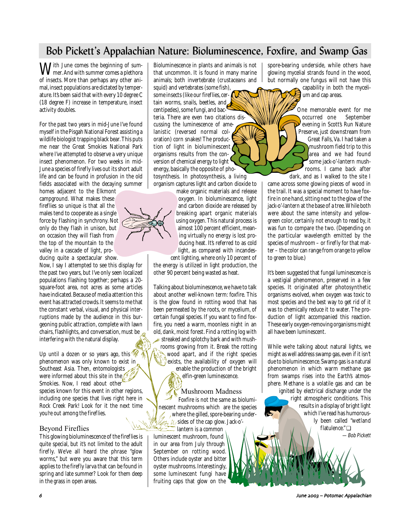# Bob Pickett's Appalachian Nature: Bioluminescence, Foxfire, and Swamp Gas

With June comes the beginning of sum-<br>mer. And with summer comes a plethora of insects. More than perhaps any other animal, insect populations are dictated by temperature. It's been said that with every 10 degree C (18 degree F) increase in temperature, insect activity doubles.

For the past two years in mid-June I've found myself in the Pisgah National Forest assisting a wildlife biologist trapping black bear. This puts me near the Great Smokies National Park where I've attempted to observe a very unique insect phenomenon. For two weeks in mid-June a species of firefly lives out its short adult life and can be found in profusion in the old fields associated with the decaying summer

homes adjacent to the Elkmont campground. What makes these fireflies so unique is that all the males tend to cooperate as a single force by flashing in synchrony. Not only do they flash in unison, but on occasion they will flash from the top of the mountain to the valley in a cascade of light, producing quite a spectacular show.

Now, I say I attempted to see this display for the past two years, but I've only seen localized populations flashing together; perhaps a 20 square-foot area, not acres as some articles have indicated. Because of media attention this event has attracted crowds. It seems to me that the constant verbal, visual, and physical interruptions made by the audience in this burgeoning public attraction, complete with lawn chairs, flashlights, and conversation, must be interfering with the natural display.

Up until a dozen or so years ago, this  $\mathscr{M}$ phenomenon was only known to exist in Southeast Asia. Then, entomologists were informed about this site in the  $\ell^{\frac{1}{2}}$ Smokies. Now, I read about other species known for this event in other regions, including one species that lives right here in Rock Creek Park! Look for it the next time you're out among the fireflies.

### Beyond Fireflies

This glowing bioluminescence of the fireflies is quite special, but it's not limited to the adult firefly. We've all heard the phrase "glow worms," but were you aware that this term applies to the firefly larva that can be found in spring and late summer? Look for them deep in the grass in open areas.

Bioluminescence in plants and animals is not that uncommon. It is found in many marine animals; both invertebrate (crustaceans and squid) and vertebrates (some fish), some insects (like our fireflies, cer- $\mathcal{\mathcal{U}}$ tain worms, snails, beetles, and centipedes), some fungi, and bac-

teria. There are even two citations discussing the luminescence of amelanistic (reversed normal coloration) corn snakes! The production of light in bioluminescent organisms results from the conversion of chemical energy to light energy, basically the opposite of photosynthesis. In photosynthesis, a living organism captures light and carbon dioxide to

> make organic materials and release oxygen. In bioluminescence, light and carbon dioxide are released by breaking apart organic materials using oxygen. This natural process is almost 100 percent efficient, meaning virtually no energy is lost producing heat. It's referred to as cold light, as compared with incandescent lighting, where only 10 percent of

the energy is utilized in light production, the other 90 percent being wasted as heat.

Talking about bioluminescence, we have to talk about another well-known term: foxfire. This is the glow found in rotting wood that has been permeated by the roots, or mycelium, of certain fungal species. If you want to find foxfire, you need a warm, moonless night in an old, dank, moist forest. Find a rotting log with  $\ast$  streaked and splotchy bark and with mushrooms growing from it. Break the rotting wood apart, and if the right species exists, the availability of oxygen will enable the production of the bright

elfin-green luminescence.

Mushroom Madness Foxfire is not the same as bioluminescent mushrooms which are the species where the gilled, spore-bearing under- $\mathcal{U}/$  sides of the cap glow. Jack-o'-

lantern is a common luminescent mushroom, found in our area from July through September on rotting wood. Others include oyster and bitter oyster mushrooms. Interestingly, some luminescent fungi have fruiting caps that glow on the

spore-bearing underside, while others have glowing mycelial strands found in the wood, but normally one fungus will not have this capability in both the mycelium and cap areas.

> One memorable event for me occurred one September evening in Scott's Run Nature Preserve, just downstream from Great Falls, Va. I had taken a mushroom field trip to this area and we had found some jack-o'-lantern mushrooms. I came back after dark, and as I walked to the site I

came across some glowing pieces of wood in the trail. It was a special moment to have foxfire in one hand, sitting next to the glow of the jack-o'-lantern at the base of a tree. While both were about the same intensity and yellowgreen color, certainly not enough to read by, it was fun to compare the two. (Depending on the particular wavelength emitted by the species of mushroom – or firefly for that matter – the color can range from orange to yellow to green to blue.)

It's been suggested that fungal luminescence is a vestigial phenomenon, preserved in a few species. It originated after photosynthetic organisms evolved, when oxygen was toxic to most species and the best way to get rid of it was to chemically reduce it to water. The production of light accompanied this reaction. These early oxygen-removing organisms might all have been luminescent.

While we're talking about natural lights, we might as well address swamp gas, even if it isn't due to bioluminescence. Swamp gas is a natural phenomenon in which warm methane gas from swamps rises into the Earth's atmosphere. Methane is a volatile gas and can be ignited by electrical discharge under the right atmospheric conditions. This results in a display of bright light which I've read has humorously been called "wetland flatulence." ❏

—Bob Pickett

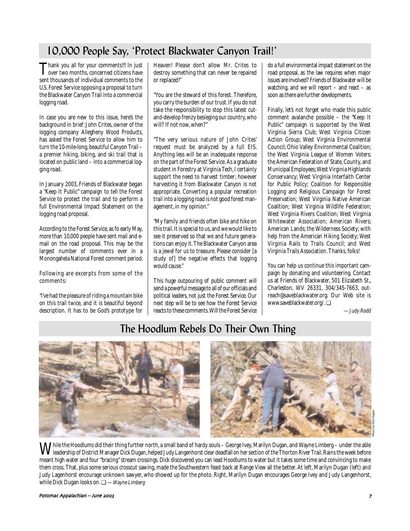# 10,000 People Say, 'Protect Blackwater Canyon Trail!'

Thank you all for your comments!!! In just<br>over two months, concerned citizens have sent thousands of individual comments to the U.S. Forest Service opposing a proposal to turn the Blackwater Canyon Trail into a commercial logging road.

In case you are new to this issue, here's the background in brief: John Crites, owner of the logging company Allegheny Wood Products, has asked the Forest Service to allow him to turn the 10-mile-long, beautiful Canyon Trail – a premier hiking, biking, and ski trail that is located on public land – into a commercial logging road.

In January 2003, Friends of Blackwater began a "Keep It Public" campaign to tell the Forest Service to protect the trail and to perform a full Environmental Impact Statement on the logging road proposal.

According to the Forest Service, as fo early May, more than 10,000 people have sent mail and email on the road proposal. This may be the largest number of comments ever in a Monongahela National Forest comment period.

Following are excerpts from some of the comments:

"I've had the pleasure of riding a mountain bike on this trail twice, and it is beautiful beyond description. It has to be God's prototype for Heaven! Please don't allow Mr. Crites to destroy something that can never be repaired or replaced!"

"You are the steward of this forest. Therefore, you carry the burden of our trust. If you do not take the responsibility to stop this latest cutand-develop frenzy besieging our country, who will? If not now, when?"

"The very serious nature of John Crites' request must be analyzed by a full EIS. Anything less will be an inadequate response on the part of the Forest Service. As a graduate student in Forestry at Virginia Tech, I certainly support the need to harvest timber; however harvesting it from Blackwater Canyon is not appropriate. Converting a popular recreation trail into a logging road is not good forest management, in my opinion."

"My family and friends often bike and hike on this trail. It is special to us, and we would like to see it preserved so that we and future generations can enjoy it. The Blackwater Canyon area is a jewel for us to treasure. Please consider [a study of] the negative effects that logging would cause."

This huge outpouring of public comment will send a powerful message to all of our officials and political leaders, not just the Forest Service. Our next step will be to see how the Forest Service reacts to these comments. Will the Forest Service do a full environmental impact statement on the road proposal, as the law requires when major issues are involved? Friends of Blackwater will be watching, and we will report – and react – as soon as there are further developments.

Finally, let's not forget who made this public comment avalanche possible – the "Keep It Public" campaign is supported by the West Virginia Sierra Club; West Virginia Citizen Action Group; West Virginia Environmental Council; Ohio Valley Environmental Coalition; the West Virginia League of Women Voters; the American Federation of State, County, and Municipal Employees; West Virginia Highlands Conservancy; West Virginia Interfaith Center for Public Policy; Coalition for Responsible Logging and Religious Campaign for Forest Preservation; West Virginia Native American Coalition; West Virginia Wildlife Federation; West Virginia Rivers Coalition; West Virginia Whitewater Association; American Rivers; American Lands; the Wilderness Society; with help from the American Hiking Society; West Virginia Rails to Trails Council; and West Virginia Trails Association. Thanks, folks!

You can help us continue this important campaign by donating and volunteering. Contact us at Friends of Blackwater, 501 Elizabeth St., Charleston, WV 26331, 304/345-7663, outreach@saveblackwater.org. Our Web site is www.saveblackwater.org/. ❏

—Judy Rodd

## The Hoodlum Rebels Do Their Own Thing



**W** hile the Hoodlums did their thing further north, a small band of hardy souls – George Ivey, Marilyn Dugan, and Wayne Limberg – under the able<br>Weadership of District Manager Dick Dugan, helped Judy Langenhorst clear dea meant high water and four "bracing" stream crossings. Dick discovered you can lead Hoodlums to water but it takes some time and convincing to make them cross. That, plus some serious crosscut sawing, made the Southwestern feast back at Range View all the better. At left, Marilyn Dugan (left) and Judy Lagenhorst encourage unknown sawyer, who showed up for the photo. Right, Marilyn Dugan encourages George Ivey and Judy Langenhorst, while Dick Dugan looks on.  $\Box$  —Wayne Limberg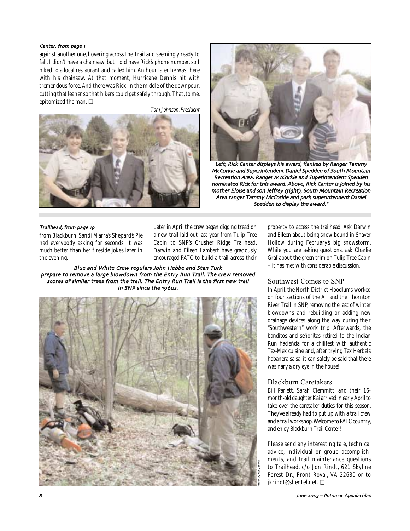### Canter, from page 1

against another one, hovering across the Trail and seemingly ready to fall. I didn't have a chainsaw, but I did have Rick's phone number, so I hiked to a local restaurant and called him. An hour later he was there with his chainsaw. At that moment, Hurricane Dennis hit with tremendous force. And there was Rick, in the middle of the downpour, cutting that leaner so that hikers could get safely through. That, to me, epitomized the man. ❏

—Tom Johnson, President





Left, Rick Canter displays his award, flanked by Ranger Tammy McCorkle and Superintendent Daniel Spedden of South Mountain Recreation Area. Ranger McCorkle and Superintendent Spedden nominated Rick for this award. Above, Rick Canter is joined by his mother Eloise and son Jeffrey (right), South Mountain Recreation Area ranger Tammy McCorkle and park superintendent Daniel Spedden to display the award."

### Trailhead, from page 19

from Blackburn. Sandi Marra's Shepard's Pie had everybody asking for seconds. It was much better than her fireside jokes later in the evening.

Later in April the crew began digging tread on a new trail laid out last year from Tulip Tree Cabin to SNP's Crusher Ridge Trailhead. Darwin and Eileen Lambert have graciously encouraged PATC to build a trail across their

Blue and White Crew regulars John Hebbe and Stan Turk prepare to remove a large blowdown from the Entry Run Trail. The crew removed scores of similar trees from the trail. The Entry Run Trail is the first new trail in SNP since the 1960s.



property to access the trailhead. Ask Darwin and Eileen about being snow-bound in Shaver Hollow during February's big snowstorm. While you are asking questions, ask Charlie Graf about the green trim on Tulip Tree Cabin – it has met with considerable discussion.

### Southwest Comes to SNP

In April, the North District Hoodlums worked on four sections of the AT and the Thornton River Trail in SNP, removing the last of winter blowdowns and rebuilding or adding new drainage devices along the way during their "Southwestern" work trip. Afterwards, the banditos and señoritas retired to the Indian Run hacieñda for a chilifest with authentic Tex-Mex cuisine and, after trying Tex Herbel's habanera salsa, it can safely be said that there was nary a dry eye in the house!

### Blackburn Caretakers

Bill Parlett, Sarah Clemmitt, and their 16 month-old daughter Kai arrived in early April to take over the caretaker duties for this season. They've already had to put up with a trail crew and a trail workshop. Welcome to PATC country, and enjoy Blackburn Trail Center!

Please send any interesting tale, technical advice, individual or group accomplishments, and trail maintenance questions to Trailhead, c/o Jon Rindt, 621 Skyline Forest Dr., Front Royal, VA 22630 or to jkrindt@shentel.net. ❏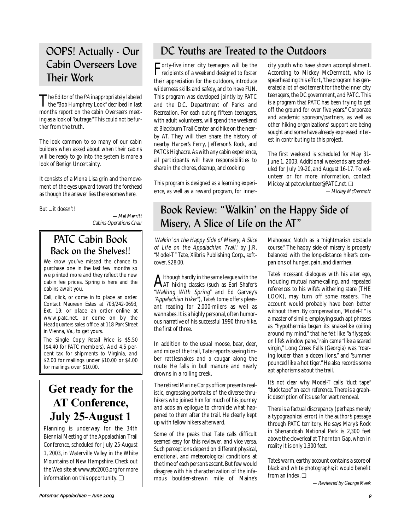# OOPS! Actually - Our Cabin Overseers Love Their Work

The Editor of the PA inappropriately labeled the "Bob Humphrey Look" decribed in last months report on the cabin Overseers meeting as a look of "outrage." This could not be further from the truth.

The look common to so many of our cabin builders when asked about when their cabins will be ready to go into the system is more a look of Benign Uncertainty.

It consists of a Mona Lisa grin and the movement of the eyes upward toward the forehead as though the answer lies there somewhere.

But ... it doesn't!

—Mel Merritt Cabins Operations Chair

## PATC Cabin Book Back on the Shelves!!

We know you've missed the chance to purchase one in the last few months so we printed more and they reflect the new cabin fee prices. Spring is here and the cabins await you.

Call, click, or come in to place an order. Contact Maureen Estes at 703/242-0693, Ext. 19; or place an order online at www.patc.net, or come on by the Headquarters sales office at 118 Park Street in Vienna, Va., to get yours.

The Single Copy Retail Price is \$5.50 (\$4.40 for PATC members). Add 4.5 percent tax for shipments to Virginia, and \$2.00 for mailings under \$10.00 or \$4.00 for mailings over \$10.00.

# **Get ready for the AT Conference, July 25-August 1**

Planning is underway for the 34th Biennial Meeting of the Appalachian Trail Conference, scheduled for July 25-August 1, 2003, in Waterville Valley in the White Mountains of New Hampshire. Check out the Web site at www.atc2003.org for more information on this opportunity. ❏

# DC Youths are Treated to the Outdoors

Forty-five inner city teenagers will be the recipients of a weekend designed to foster their appreciation for the outdoors, introduce wilderness skills and safety, and to have FUN. This program was developed jointly by PATC and the D.C. Department of Parks and Recreation. For each outing fifteen teenagers, with adult volunteers, will spend the weekend at Blackburn Trail Center and hike on the nearby AT. They will then share the history of nearby Harper's Ferry, Jefferson's Rock, and PATC's Highacre. As with any cabin experience, all participants will have responsibilities to share in the chores, cleanup, and cooking.

This program is designed as a learning experience, as well as a reward program, for innercity youth who have shown accomplishment. According to Mickey McDermott, who is spearheading this effort, "the program has generated a lot of excitement for the the inner city teenagers, the DC government, and PATC. This is a program that PATC has been trying to get off the ground for over five years." Corporate and academic sponsors/partners, as well as other hiking organizations' support are being sought and some have already expressed interest in contributing to this project.

The first weekend is scheduled for May 31- June 1, 2003. Additional weekends are scheduled for July 19-20, and August 16-17. To volunteer or for more information, contact Mickey at patcvolunteer@PATC.net. ❏

—Mickey McDermott

# Book Review: "Walkin' on the Happy Side of Misery, A Slice of Life on the AT"

'Walkin' on the Happy Side of Misery, A Slice of Life on the Appalachian Trail,' by J.R. "Model-T" Tate, Xlibris Publishing Corp., softcover, \$28.00.

 $A$ lthough hardly in the same league with the<br>AT hiking classics (such as Earl Shafer's "Walking With Spring" and Ed Garvey's "Appalachian Hiker"), Tate's tome offers pleasant reading for 2,000-milers as well as wannabes. It is a highly personal, often humorous narrative of his successful 1990 thru-hike, the first of three.

In addition to the usual moose, bear, deer, and mice of the trail, Tate reports seeing timber rattlesnakes and a cougar along the route. He falls in bull manure and nearly drowns in a rolling creek.

The retired Marine Corps officer presents realistic, engrossing portraits of the diverse thruhikers who joined him for much of his journey and adds an epilogue to chronicle what happened to them after the trail. He clearly kept up with fellow hikers afterward.

Some of the peaks that Tate calls difficult seemed easy for this reviewer, and vice versa. Such perceptions depend on different physical, emotional, and meteorological conditions at the time of each person's ascent. But few would disagree with his characterization of the infamous boulder-strewn mile of Maine's

Mahoosuc Notch as a "nightmarish obstacle course." The happy side of misery is properly balanced with the long-distance hiker's companions of hunger, pain, and diarrhea.

Tate's incessant dialogues with his alter ego, including mutual name-calling, and repeated references to his wife's withering stare (THE LOOK), may turn off some readers. The account would probably have been better without them. By compensation, "Model-T" is a master of simile, employing such apt phrases as "hypothermia began its snake-like coiling around my mind," that he felt like "a flyspeck on life's window pane," rain came "like a scared virgin," Long Creek Falls (Georgia) was "roaring louder than a dozen lions," and "summer pounced like a hot tiger." He also records some apt aphorisms about the trail.

It's not clear why Model-T calls "duct tape" "duck tape" on each reference. There is a graphic description of its use for wart removal.

There is a factual discrepancy (perhaps merely a typographical error) in the author's passage through PATC territory. He says Mary's Rock in Shenandoah National Park is 2,300 feet above the cloverleaf at Thornton Gap, when in reality it is only 1,300 feet.

Tate's warm, earthy account contains a score of black and white photographs; it would benefit from an index. ❏

—Reviewed by George Meek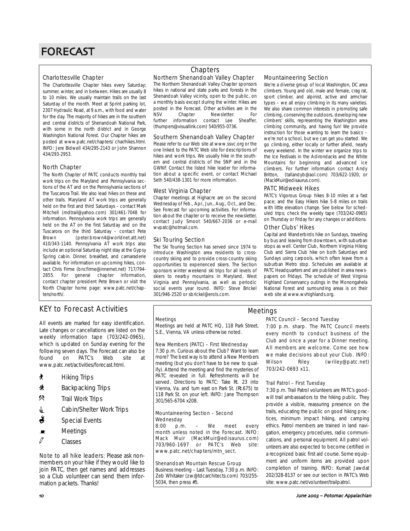# FORECAST

### Charlottesville Chapter

The Charlottesville Chapter hikes every Saturday; summer, winter, and in between. Hikes are usually 8 to 10 miles. We usually maintain trails on the last Saturday of the month. Meet at Sprint parking lot, 2307 Hydraulic Road, at 9 a.m., with food and water for the day. The majority of hikes are in the southern and central districts of Shenandoah National Park, with some in the north district and in George Washington National Forest. Our Chapter hikes are posted at www.patc.net/chapters/ char/hikes.html. INFO: Jere Bidwell 434/295-2143 or John Shannon 434/293-2953.

### North Chapter

The North Chapter of PATC conducts monthly trail work trips on the Maryland and Pennsylvania sections of the AT and on the Pennsylvania sections of the Tuscarora Trail. We also lead hikes on these and other trails. Maryland AT work trips are generally held on the first and third Saturdays – contact Mark Mitchell (mdtrail@yahoo.com) 301/461-7048 for information. Pennsylvania work trips are generally held on the AT on the first Saturday and on the Tuscarora on the third Saturday – contact Pete Brown (peter.brown4@worldnet.att.net) 410/343-1140. Pennsylvania AT work trips also include an optional Saturday night stay at the Gypsy Spring cabin. Dinner, breakfast, and camaraderie available. For information on upcoming hikes, contact Chris Firme (bncfirme@innernet.net) 717/794- 2855. For general chapter information, contact chapter president Pete Brown or visit the North Chapter home page: www.patc.net/chapters/north/.

### KEY to Forecast Activities

All events are marked for easy identification. Late changes or cancellations are listed on the weekly information tape (703/242-0965), which is updated on Sunday evening for the following seven days. The Forecast can also be found on PATC's Web site at www.patc.net/activities/forecast.html.

- ` Hiking Trips
- ~ Backpacking Trips
- .Trail Work Trips
- **i** Cabin/Shelter Work Trips
- $\ddot{\bullet}$  Special Events
- $\blacksquare$  Meetings
- $\mathcal{O}$  Classes

Note to all hike leaders: Please ask nonmembers on your hike if they would like to join PATC, then get names and addresses so a Club volunteer can send them information packets. Thanks!

### Northern Shenandoah Valley Chapter **Chapters**

The Northern Shenandoah Valley Chapter sponsors hikes in national and state parks and forests in the Shenandoah Valley vicinity, open to the public, on a monthly basis except during the winter. Hikes are posted in the Forecast. Other activities are in the NSV Chapter Newsletter. For<br>further information contact Lee Sheaffer information contact Lee (thumpers@visuallink.com) 540/955-0736.

### Southern Shenandoah Valley Chapter

Please refer to our Web site at www.ssvc.org or the one linked to the PATC Web site for descriptions of hikes and work trips. We usually hike in the southern and central districts of the SNP and in the GWNF. Contact the listed hike leader for information about a specific event, or contact Michael Seth 540/438-1301 for more information.

### West Virginia Chapter

Chapter meetings at Highacre are on the second Wednesday of Feb., Apr., Jun., Aug., Oct., and Dec. See Forecast for upcoming activities. For information about the chapter or to receive the newsletter, contact Judy Smoot 540/667-2036 or e-mail wvpatc@hotmail.com.

### Ski Touring Section

The Ski Touring Section has served since 1974 to introduce Washington area residents to crosscountry skiing and to provide cross-country skiing opportunities to experienced skiers. The Section sponsors winter weekend ski trips for all levels of skiers to nearby mountains in Maryland, West Virginia and Pennsylvania, as well as periodic social events year round. INFO: Steve Brickel 301/946-2520 or sbrickel@erols.com.

### Mountaineering Section

We're a diverse group of local Washington, DC area climbers. Young and old, male and female, crag rat, sport climber, and alpinist, active and armchair types – we all enjoy climbing in its many varieties. We also share common interests in promoting safe climbing, conserving the outdoors, developing new climbers' skills, representing the Washington area climbing community, and having fun! We provide instruction for those wanting to learn the basics – we're not a school, but we can get you started. We go climbing, either locally or further afield, nearly every weekend. In the winter we organize trips to the Ice Festivals in the Adirondacks and the White Mountains for beginning and advanced ice climbers. For further information contact Andy Britton, (tallandyb@aol.com) 703/622-1920, or (MackMuir@edisaurus.com).

### PATC Midweek Hikes

PATC's Vigorous Group hikes 8-10 miles at a fast pace; and the Easy Hikers hike 5-8 miles on trails with little elevation change. See below for scheduled trips; check the weekly tape (703/242-0965) on Thursday or Friday for any changes or additions.

### Other Clubs' Hikes

Capital and Wanderbirds hike on Sundays, traveling by bus and leaving from downtown, with suburban stops as well. Center Club, Northern Virginia Hiking Club and Sierra Club hike on both Saturdays and Sundays using carpools, which often leave from a suburban Metro stop. Schedules are available at PATC Headquarters and are published in area newspapers on Fridays. The schedule of West Virginia Highland Conservancy outings in the Monongahela National Forest and surrounding areas is on their web site at www.wvhighlands.org.

### **Meetings**

Meetings are held at PATC HQ, 118 Park Street, S.E., Vienna, VA unless otherwise noted.

### New Members (PATC) – First Wednesday

7:30 p.m. Curious about the Club? Want to learn more? The best way is to attend a New Members meeting (but you don't have to be new to qualify). Attend the meeting and find the mysteries of PATC revealed in full. Refreshments will be served. Directions to PATC: Take Rt. 23 into Vienna, Va. and turn east on Park St. (Rt.675) to 118 Park St. on your left. INFO: Jane Thompson 301/565-6704 x208.

### Mountaineering Section – Second Wednesday<br>8:00 p.m

p.m. – We meet every month unless noted in the Forecast. INFO: Mack Muir (MackMuir@edisaurus.com) 703/960-1697 or PATC's Web site: www.patc.net/chapters/mtn\_sect.

### Shenandoah Mountain Rescue Group

Business meeting – Last Tuesday, 7:30 p.m. INFO: Zeb Whitaker (zw@tdcarchitects.com) 703/255- 5034, then press #5.

### Meetings

### PATC Council – Second Tuesday

7:00 p.m. sharp. The PATC Council meets every month to conduct business of the Club and once a year for a Dinner meeting. All members are welcome. Come see how we make decisions about your Club. INFO: Wilson Riley (wriley@patc.net) 703/242-0693 x11.

### Trail Patrol – First Tuesday

7:30 p.m. Trail Patrol volunteers are PATC's goodwill trail ambassadors to the hiking public. They provide a visible, reassuring presence on the trails, educating the public on good hiking practices, minimum impact hiking, and camping ethics. Patrol members are trained in land navigation, emergency procedures, radio communications, and personal equipment. All patrol volunteers are also expected to become certified in a recognized basic first aid course. Some equipment and uniform items are provided upon completion of training. INFO: Kumait Jawdat 202/328-8137 or see our section in PATC's Web site: www.patc.net/volunteer/trailpatrol.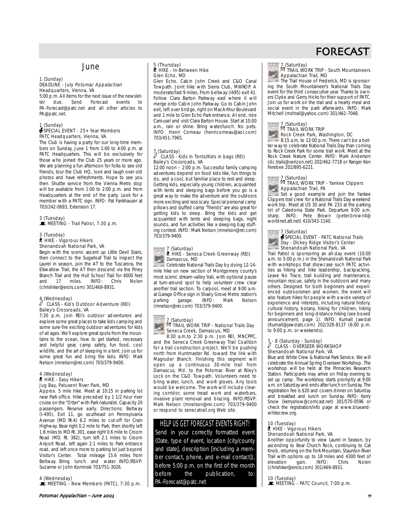### June

#### 1 (Sunday) DEADLINE - July Potomac Appalachian Headquarters, Vienna, VA

5:00 p.m. All items for the next issue of the newsletter due. Send Forecast events to PA-Forecast@patc.net and all other articles to PA@patc.net.

#### 1 (Sunday) SPECIAL EVENT - 25+ Year Members PATC Headquarters, Vienna, VA

The Club is having a party for our long-time members on Sunday, June 1 from 1:00 to 4:00 p.m. at PATC Headquarters. This will be exclusively for those who joined the Club 25 years or more ago. We are planning a fun afternoon for folks to see old friends, tour the Club HQ, look and laugh over old photos and have refreshments. Hope to see you then. Shuttle service from the Vienna Metro stop will be available from 1:00 to 2:00 p.m. and from Headquarters at the end of the party. Look for a member with a PATC sign. INFO: Pat Fankhauser at 703/242-0693, Extension 17.

3 (Tuesday)<br>■ MEETING - Trail Patrol, 7:30 p.m.

#### 3 (Tuesday) **N** HIKE - Vigorous Hikers Shenandoah National Park, VA

Begin with the scenic ascent up Little Devil Stairs, then connect to the Sugarloaf Trail to inspect the Laurel in season, join the AT to the Tuscarora, the Elkwallow Trail, the AT then descend via the Piney Branch Trail and the Hull School Trail for 4000 feet<br>and 17 miles. INFO: Chris Nolen and 17 miles. INFO: Chris Nolen (chrishiker@erols.com) 301/469-8931.

### 4 (Wednesday)<br> $\emph{7}$  CLASS - Kid's Outdoor Adventure (REI) Bailey's Crossroads, VA

7:30 p.m. Join REI's outdoor adventurers and explore some great places to take kids camping and some sure-fire exciting outdoor adventures for kids of all ages. We'll explore great spots from the mountains to the ocean, how to get started, necessary and helpful gear, camp safety, fun food, cool wildlife, and the art of sleeping in a tent. Join us for some great fun and bring the kids. INFO: Mark Nelson (mnelson@rei.com) 703/379-9400.

#### 4 (Wednesday) ` HIKE - Easy Hikers Jug Bay, Patuxent River Park, MD

Approx. 5 mile hike. Meet at 10:15 in parking lot near Park office. Hike preceded by 1 1/2 hour river cruise on the "Otter" with Park naturalist. Capacity 20 passengers. Reserve early. Directions: Beltway (I-495), Exit 11, go southeast on Pennsylvania Avenue (MD Rt.4) 6.2 miles to cut-off for Crain Highway. Bear right 0.2 mile to Park, then shortly left 1.8 miles to MD Rt. 301, ease right 0.6 mile to Croom Road (MD. Rt. 382), turn left 2.1 miles to Croom Airport Road, left again 2.1 miles to Park entrance road, and left once more to parking lot just beyond Visitor's Center. Total mileage 15.6 miles from Beltway. Bring lunch and water. INFO/RSVP: Suzanne or John Kominski 703/751-3026.

### 4 (Wednesday)

\MEETING - New Members (PATC), 7:30 p.m.

### 5 (Thursday)<br>∦ HIKE - In-Between Hike Glen Echo, MD

Glen Echo, Cabin John Creek and C&O Canal Towpath. Joint hike with Sierra Club, MWROP. A moderate/fast 9 miles. From beltway (1495) exit 41. Follow Clara Barton Parkway east where it will merge onto Cabin John Parkway. Go to Cabin John exit, left over bridge, right on MacArthur Boulevard and 1 mile to Glen Echo Park entrance. At end, ride Carousel and visit Clara Barton House. Start at 10:00 a.m., rain or shine. Bring water/lunch. No pets. INFO: Henri Comeau (henricomeau@aol.com) 703/451-7965.

### 7 (Saturday) <sup>a</sup> CLASS - Kids in Tents/Kids in bags (REI) Bailey's Crossroads, VA

12:00 noon – 2:00 p.m. Successful family camping adventures depend on food kids like, fun things to do, and a cool, but familiar place to rest and sleep. Getting kids, especially young children, acquainted with tents and sleeping bags before you go is a great way to make the adventure and the outdoors more exciting and less scary. Special personal camp pillows and stuffed camp "friends" are also great for getting kids to sleep. Bring the kids and get acquainted with tents and sleeping bags, night sounds, and fun activities like a sleeping bag stuffing contest. INFO: Mark Nelson (mnelson@rei.com) 703/379-9400.

#### 7 (Saturday)<br>∦ HIKE - Seneca Creek Greenway (REI) 쁘 Damascus, MD

Celebrate National Trails Day by doing 12-14 mile hike on new section of Montgomery county's most scenic stream-valley trail, with optional pause at turn-around spot to help volunteer crew clear another trail section. To carpool, meet at 9:00 a.m. at Garage Office sign in Shady Grove Metro station's<br>parking garage. INFO: Mark Nelson parking garage. INFO: Mark Nelson (mnelson@rei.com) 703/379-9400.

### 7 (Saturday)

### ,(Saturday)<br>风 TRAIL WORK TRIP - National Trails Day Seneca Creek, Damascus, MD

8:30 a.m.to 2:30 p.m. Join REI, MNCPPC, and the Seneca Creek Greenway Trail Coalition for a trail construction project. We'll be pushing north from Huntmaster Rd. toward the link with Magruder Branch. Finishing this segment will open up a continuous 30-mile trail from Damascus, Md. to the Potomac River at Riley's Lock on the C&O Towpath. Volunteers need to bring water, lunch, and work gloves. Any tools would be welcome. The work will include clearing corridor, some tread work and waterbars, invasive plant removal and blazing. INFO/RSVP: Mark Nelson (mnelson@rei.com) 703/379-9400 or respond to senecatrail.org Web site.

### HELP US GET FORECAST EVENTS RIGHT!

Send in your correctly formatted event (Date, type of event, location [city/county and state], description [including a member contact, phone, and e-mail contact]) before 5:00 p.m. on the first of the month before the publication, PA-Forecast@patc.net

7 (Saturday) . TRAIL WORK TRIP - South Mountaineers Appalachian Trail, MD The Trail House of Frederick, MD is sponsor-

ing the South Mountaineer's National Trails Day event for the third consecutive year. Thanks to owners Clyde and Gerry Hicks for their support of PATC. Join us for work on the trail and a hearty meal and social event in the park afterwards. INFO: Mark Mitchell (mdtrail@yahoo.com) 301/461-7048.



### Rock Creek Park, Washington, DC

8:15 a.m. to 12:00 p.m. There can't be a better way to celebrate National Trails Day than coming to Rock Creek Park for some trail work. Meet at the Rock Creek Nature Center. INFO: Mark Anderson (dc.trails@verizon.net) 202/462-7718 or Ranger Ken Ferebee 202/895-6221.



Set a good example and join the Yankee Clippers trail crew for a National Trails Day weekend work trip. Meet at US 30 and PA 233 at the parking lot of Caledonia State Park. Departure 9:00 a.m. sharp. INFO: Pete Brown (peter.brown4@ worldnet.att.net) 410/343-1140.

### 7 (Saturday)<br>∯SPECIAL EVENT - PATC National Trails Day - Dickey Ridge Visitor's Center Shenandoah National Park, VA

Trail Patrol is sponsoring an all-day event (10:00 a.m. to 5:00 p.m.) in the Shenandoah National Park with workshops that showcase such PATC activities as hiking and hike leadership, backpacking, Leave No Trace, trail building and maintenance, mountain rescue, safety in the outdoors and many others. Designed for both beginners and experienced outdoorsmen and women, the event will also feature hikes for people with a wide variety of experience and interests, including natural history, cultural history, botany, hiking for children, hiking for beginners and long-distance hiking (see boxed announcement, page 1). INFO: Kumait Jawdat (Kumait@jawdats.com) 202/328-8137 (6:00 p.m. to 9:00 p.m. or weekends).

### - 8 (Saturday - Sunday)<br>CLASS - OVERSEER WORKSHOP Shenandoah National Park, VA

Blue and White Crew & National Park Service. We will celebrate the Annual Spring Overseer Workshop. The workshop will be held at the Pinnacles Research Station. Participants may arrive on Friday evening to set up camp. The workshop starts promptly at 9:00 a.m. on Saturday and ends after lunch on Sunday. The registration fee is \$20 and covers dinner on Saturday and breakfast and lunch on Sunday. INFO: Kerry Snow (kerrysnow@comcast.net) 301/570-0596 or check the registration/info page at www.blueandwhitecrew.org.

### 10 (Tuesday) **N** HIKE - Vigorous Hikers Shenandoah National Park, VA

Another opportunity to view Laurel in Season, by ascending to Bear Church Rock, continuing to Cat Knob, returning on the Fork Mountain, Staunton River Trail with options up to 18 miles and 4300 feet of elevation gain. INFO: Chris Nolen elevation (chrishiker@erols.com) 301/469-8931.

10 (Tuesday)<br>■ MEETING - PATC Council, 7:00 p.m.

## FORECAST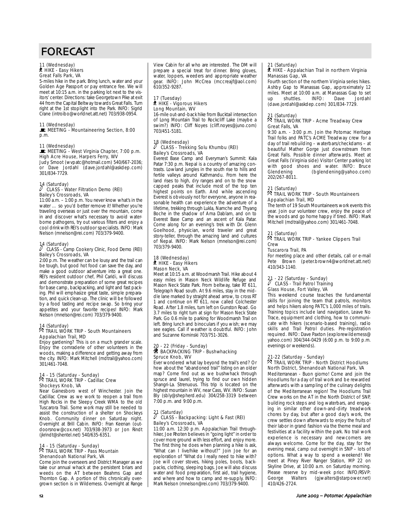# FORECAST

### 11 (Wednesday)<br>∦ HIKE - Easy Hikers Great Falls Park, VA

5-miles hike in the park. Bring lunch, water and your Golden Age Passport or pay entrance fee. We will meet at 10:15 a.m. in the parking lot next to the visitors' center. Directions: take Georgetown Pike at exit 44 from the Capital Beltway towards Great Falls. Turn right at the 1st stoplight into the Park. INFO: Sigrid Crane (introibo@worldnet.att.net) 703/938-0954.

### 11 (Wednesday)<br>■ MEETING - Mountaineering Section, 8:00 p.m.

### 11 (Wednesday)<br>■ MEETING - West Virginia Chapter, 7:00 p.m. High Acre House, Harpers Ferry, WV

Judy Smoot (wvpatc@hotmail.com) 540/667-2036; or Dave Jordahl (dave.jordahl@askdep.com) 301/834-7729.

### 14 (Saturday)<br> $\smash{\stackrel{>}{\mathcal{C}}}$  CLASS - Water Filtration Demo (REI) Bailey's Crossroads, VA

11:00 a.m. – 1:00 p.m. You never know what's in the water ... so you'd better remove it! Whether you're traveling overseas or just over the mountain, come in and discover what's necessary to avoid waterborne pathogens, try out various filters and enjoy a cool drink with REI's outdoor specialists. INFO: Mark Nelson (mnelson@rei.com) 703/379-9400.

### 14 (Saturday) <sup>a</sup> CLASS - Camp Cookery Clinic, Food Demo (REI) Bailey's Crossroads, VA

2:00 p.m. The weather can be lousy and the trail can be tough, but good hot food can save the day, and make a good outdoor adventure into a great one. REI's resident outdoor chef, Phil Caridi, will discuss and demonstrate preparation of some great recipes for base camp, backpacking, and light and fast packing. Phil will emphasize great taste, simple preparation, and quick clean-up. The clinic will be followed by a food tasting and recipe swap. So bring your appetites and your favorite recipes! INFO: Mark Nelson (mnelson@rei.com) 703/379-9400.

### 14 (Saturday) . TRAIL WORK TRIP - South Mountaineers Appalachian Trail, MD

Enjoy gardening? This is on a much grander scale. Enjoy the comraderie of other volunteers in the woods, making a difference and getting away from the city. INFO: Mark Mitchell (mdtrail@yahoo.com) 301/461-7048.

#### 14 - 15 (Saturday - Sunday) 14 - 15 (saturday - sunday)<br><sup>R</sup> TRAIL WORK TRIP - Cadillac Crew Shockeys Knob, VA

Near Gainesboro west of Winchester. Join the Cadillac Crew as we work to reopen a trail from High Rocks in the Sleepy Creek WMA to the old Tuscarora Trail. Some work may still be needed to assist the construction of a shelter on Shockeys Knob. Community dinner on Saturday night. Overnight at Brill Cabin. INFO: Fran Keenan (outdoorsnow@cox.net) 703/938-3973 or Jon Rindt (jkrindt@shentel.net) 540/635-6351.

#### 14 - 15 (Saturday - Sunday) 14 - 15 (Saturday - Sunday)<br><sup>5</sup> TRAIL WORK TRIP - Pass Mountain Shenandoah National Park, VA

Come join the overseers and District Manager as we take our annual whack at the persistent briars and weeds on the AT between Beahms Gap and Thornton Gap. A portion of this chronically overgrown section is in Wilderness. Overnight at Range View Cabin for all who are interested. The DM will prepare a special treat for dinner. Bring gloves, water, loppers, weeders and appropriate weather gear. INFO: John McCrea (mccreajf@aol.com) 610/352-9287.

#### 17 (Tuesday) \*\*\* (nacsaay)<br>\* HIKE - Vigorous Hikers Long Mountain, WV

16-mile out-and-back hike from Bucktail intersection of Long Mountain Trail to Rockcliff Lake (maybe a swim?) INFO: Cliff Noyes (cliff.noyes@juno.com) 703/451-5181.

### 18 (Wednesday)<br> $\smash{\stackrel{?}{\hspace{-.9cm}\nearrow}}$  CLASS - Trekking Solu Khumbu (REI) Bailey's Crossroads, VA

Everest Base Camp and Everyman's Summit: Kala Patar 7:30 p.m. Nepal is a country of amazing contrasts. Lowland jungles in the south rise to hills and fertile valleys around Kathmandu. From here the land rises to high, dry ranges and on to the snow capped peaks that include most of the top ten highest points on Earth. And while ascending Everest is obviously not for everyone, anyone in reasonable health can experience the adventure of a lifetime, trekking through Lukla, Namche and Thyang Boche in the shadow of Ama Dablam, and on to Everest Base Camp and an ascent of Kala Patar. Come along for an evening's trek with Dr. Glenn Goelhood, physician, world traveler and great story-teller, through the amazing land and cultures of Nepal. INFO: Mark Nelson (mnelson@rei.com) 703/379-9400.

#### 18 (Wednesday) ` HIKE - Easy Hikers Mason Neck, VA

Meet at 10:15 a.m. at Woodmarsh Trail. Hike about 4 easy miles in Mason Neck Wildlife Refuge and Mason Neck State Park. From beltway, take RT 611, Telegraph Road south. At 9.6 miles, stay in the middle lane marked by straight ahead arrow, to cross RT 1 and continue on RT 611, now called Colchester Road. After 1.8 miles, turn left on Gunston Road. Go 3.7 miles to right turn at sign for Mason Neck State Park. Go 0.6 mile to parking for Woodmarsh Trail on left. Bring lunch and binoculars if you wish; we may see eagles. Call if weather is doubtful. INFO: John and Suzanne Kominski 703/751-3026.

### 20 - 22 (Friday - Sunday)<br>**#** BACKPACKING TRIP - Bushwhacking Spruce Knob, WV

Ever wondered what lay beyond the trail's end? Or how about the "abandoned trail" listing on an older map? Come find out as we bushwhack through spruce and laurel, trying to find our own hidden Shangri-La. Strenuous. This trip is located on the highest mountain in WV, near Cass, WV. INFO: Susan Bly (sbly@shepherd.edu) 304/258-3319 between 7:00 p.m. and 9:00 p.m.

### 21 (Saturday)<br>/ CLASS - Backpacking: Light & Fast (REI) Bailey's Crossroads, VA

11:00 a.m. 12:30 p.m. Appalachian Trail throughhiker, Joe Rhoten believes in "going light" in order to cover more ground with less effort, and enjoy more. The first thing he does when planning a hike is ask, "What can I live/hike without?" Join Joe for an exploration of "What do I really need to hike with? Joe will cover stoves, hiking poles, boots, backpacks, clothing, sleeping bags. Joe will also discuss water and food preparation, first aid, trail hygiene, and where and how to camp and re-supply. INFO: Mark Nelson (mnelson@rei.com) 703/379-9400.

### 21 (Saturday)

#### ` HIKE - Appalachian Trail in northern Virginia Manassas Gap, VA

Fourth section of the northern Virginia series hikes. Ashby Gap to Manassas Gap, approximately 12 miles. Meet at 10:00 a.m. at Manassas Gap to set<br>up shuttles. INFO: Dave Jordahl shuttles. (dave.jordahl@askdep.com) 301/834-7729.

### 21 (Saturday)

### <sub>2.1</sub> (saturuay)<br>风 TRAIL WORK TRIP - Acme Treadway Crew Great Falls, VA

9:30 a.m. - 3:00 p.m. Join the Potomac Heritage Trail folks and PATC's ACME Treadway crew for a day of trail rebuilding – waterbars/checkdams – at beautiful Mather Gorge just downstream from Great Falls. Possible dinner afterwards. Meet at Great Falls (Virginia side) Visitor Center parking lot with good shoes and water. INFO: Bruce<br>Glendening (bglendening@yahoo.com) (bglendening@yahoo.com) 202/267-8011.

### 21 (Saturday) . TRAIL WORK TRIP - South Mountaineers Appalachian Trail, MD

The tenth of 19 South Mountaineers work events this year. Join our volunteer crew, enjoy the peace of the woods and go home happy if tired. INFO: Mark Mitchell (mdtrail@yahoo.com) 301/461-7048.

### 21 (Saturday)

<sub>2.1</sub> (saturuay)<br>风 TRAIL WORK TRIP - Yankee Clippers Trail Crew

### Tuscarora Trail, PA

For meeting place and other details, call or e-mail Pete Brown (peter.brown4@worldnet.att.net) 410/343-1140.

## 21 - 22 (Saturday - Sunday)<br><sup>2</sup> CLASS - Trail Patrol Training Glass House, Fort Valley, VA

This weekend course teaches the fundamental skills for joining the team that patrols, monitors and helps hikers along PATC's 1,000 miles of trails. Training topics include land navigation, Leave No Trace, equipment and clothing, how to communicate with hikers (scenario-based training), radio skills and Trail Patrol duties. Pre-registration required. INFO: Dave Paxton (explorewilderness@ yahoo.com) 304/344-0429 (6:00 p.m. to 9:00 p.m. evenings or weekends).

### 21-22 (Saturday - Sunday) . TRAIL WORK TRIP - North District Hoodlums North District, Shenandoah National Park, VA

Mediterranean - Buon giorno! Come and join the Hoodlums for a day of trail work and be rewarded afterwards with a sampling of the culinary delights of the Mediterranean region! The Hoodlums Trail Crew works on the AT in the North District of SNP, building rock steps and log waterbars, and engaging in similar other down-and-dirty treadwork chores by day, but after a good day's work, the crew settles down afterwards to enjoy the fruits of their labor in grand fashion via the theme meal and festivities at a facility within the park. No trail work experience is necessary and newcomers are always welcome. Come for the day, stay for the evening meal, camp out overnight in SNP – lots of options. What a way to spend a weekend! We meet at Piney River Ranger Station, MP 22 on Skyline Drive, at 10:00 a.m. on Saturday morning. Please reserve by mid-week prior. INFO/RSVP:<br>George Walters (gjwalters@starpower.net) (giwalters@starpower.net) 410/426-2724.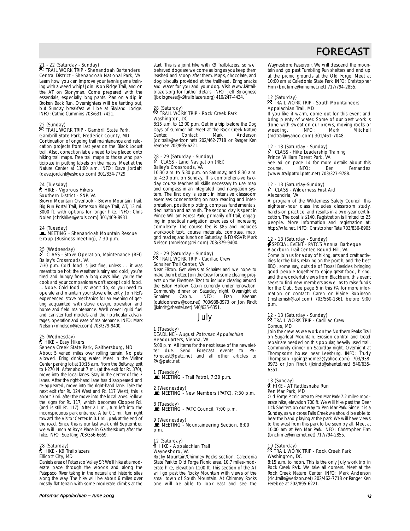### 21 - 22 (Saturday - Sunday) . TRAIL WORK TRIP - Shenandoah Bartenders

Central District - Shenandoah National Park, VA Learn how you can improve your tennis game training with a weed whip! Join us on Ridge Trail, and on the AT on Stonyman. Come prepared with the essentials, especially long pants. Plan on a dip in Broken Back Run. Overnighters will be tenting out, but Sunday breakfast will be at Skyland Lodge. INFO: Cathie Cummins 703/631-7421.

### 22 (Sunday) . TRAIL WORK TRIP - Gambrill State Park. Gambrill State Park, Frederick County, MD

Continuation of ongoing trail maintenance and relocation projects from last year on the Black Locust trail. Also, correction labels need to be placed onto hiking trail maps. Free trail maps to those who participate in putting labels on the maps. Meet at the Nature Center at 11:00 a.m. INFO: Dave Jordahl (dave.jordahl@askdep.com) 301/834-7729.

#### 24 (Tuesday) **A** HIKE - Vigorous Hikers Southern District - SNP, VA

Brown Mountain Overlook - Brown Mountain Trail, Big Run Portal Trail, Patterson Ridge Trail, AT, 13 mi. 3000 ft. with options for longer hike. INFO: Chris Nolen (chrishiker@erols.com) 301/469-8931.

24 (Tuesday)<br>■ MEETING - Shenandoah Mountain Rescue Group (Business meeting), 7:30 p.m.

### 25 (Wednesday)<br> $\hat{V}$  CLASS - Stove Operation, Maintenance (REI) Bailey's Crossroads, VA

7:30 p.m. Cold food is just fine, unless … it was meant to be hot; the weather is rainy and cold; you're tired and hungry from a long day's hike; you're the cook and your companions won't accept cold food. ... Nope. Cold food just won't do, so you need to operate and maintain your stove efficiently. Join REI's experienced stove mechanics for an evening of getting acquainted with stove design, operation and home and field maintenance. We'll cover liquid fuel and canister fuel models and their particular advantages, operation and ease of maintenance. INFO: Mark Nelson (mnelson@rei.com) 703/379-9400.

#### 25 (Wednesday) ` HIKE – Easy Hikers Seneca Creek State Park, Gaithersburg, MD

About 5 varied miles over rolling terrain. No pets allowed. Bring drinking water. Meet in the Visitor Center parking lot at 10:15 a.m. From the Beltway, exit to I-270 N. After about 7 mi. (at the exit for Rt. 370), move into the local lanes. Stay in the center of the 3 lanes. After the right-hand lane has disappeared and re-appeared, move into the right-hand lane. Take the next exit (for Rt. 124 West and Rt. 117 West); this is about 3 mi. after the move into the local lanes. Follow the signs for Rt. 117, which becomes Clopper Rd. (and is still Rt. 117). After 2.1 mi., turn left into the inconspicuous park entrance. After 0.1 mi., turn right toward the Visitor Center. In 0.1 mi., park at the end of the road. Since this is our last walk until September, we will lunch at Roy's Place in Gaithersburg after the hike. INFO: Sue King 703/356-6659.

#### 28 (Saturday) ` HIKE - K9 Trailblazers Ellicott City, MD

Daniels area of Patapsco Valley SP. We'll hike at a moderate pace through the woods and along the Patapsco River taking in the natural and historic sites along the way. The hike will be about 6 miles over mostly flat terrain with some moderate climbs at the

Potomac Appalachian – June ())\* 7\*

start. This is a joint hike with K9 Trailblazers, so well behaved dogs are welcome as long as you keep them leashed and scoop after them. Maps, chocolate, and dog biscuits provided at the trailhead. Bring snacks and water for you and your dog. Visit www.k9trailblazers.org for further details. INFO: Jeff Bolognese (jbolognese@k9trailblazers.org) 410/247-4434.

### 28 (Saturday) . TRAIL WORK TRIP - Rock Creek Park Washington, DC

8:15 a.m. to 12:00 p.m. Get in a trip before the Dog Days of summer hit. Meet at the Rock Creek Nature<br>Center. Contact: Mark Anderson Center. Contact: Mark Anderson (dc.trails@verizon.net) 202/462-7718 or Ranger Ken Ferebee 202/895-6221.

### 28 - 29 (Saturday - Sunday)<br> $\sqrt[3]{C}$  CLASS - Land Navigation (REI) Bailey's Crossroads, VA

10:30 a.m. to 5:30 p.m. on Saturday, and 8:30 a.m. to 4:30 p.m. on Sunday. This comprehensive twoday course teaches all skills necessary to use map and compass in an integrated land navigation system. The first day is spent in intensive classroom exercises concentrating on map reading and interpretation, position plotting, compass fundamentals, declination and azimuth. The second day is spent in Prince William Forest Park, primarily off-trail, engaging in practical navigation exercises of increasing complexity. The course fee is \$85 and includes workbook text, course materials, compass, map, grid reader, and lunch on Saturday. INFO/RSVP: Mark Nelson (mnelson@rei.com) 703/379-9400.

### 28 - 29 (Saturday - Sunday) . TRAIL WORK TRIP - Cadillac Crew Schairer Trail Center, VA

Near Elkton. Get views at Schairer and we hope to make them better. Join the Crew for some clearing projects on the Firestone Tract to include clearing around the Eaton Hollow Cabin currently under renovation. Community dinner on Saturday night. Overnight at<br>Schairer Cabin INFO: Fran Keenan Schairer Cabin. INFO: Fran Keenan (outdoorsnow@cox.net) 703/938-3973 or Jon Rindt (jkrindt@shentel.net) 540/635-6351.

### July

### 1 (Tuesday)

## DEADLINE - August *Potomac Appalachian*<br>Headquarters, Vienna, VA

5:00 p.m. All items for the next issue of the newsletter due. Send Forecast events to PA-Forecast@patc.net and all other articles to PA@patc.net.

1 (Tuesday)<br>■ MEETING - Trail Patrol, 7:30 p.m.

2 (Wednesday)<br>■ MEETING - New Members (PATC), 7:30 p.m.

8 (Tuesday)<br>■ MEETING - PATC Council, 7:00 p.m.

### 9 (Wednesday)<br>■ MEETING - Mountaineering Section, 8:00 p.m.

#### 12 (Saturday) ` HIKE - Appalachian Trail Waynesboro, VA

Rocky Mountain/Chimney Rocks section. Caledonia State Park to Old Forge Picnic area. 10.7 miles-moderate hike, elevation 1100 ft. This section of the AT will go past the Rocky Mountain with views of the small town of South Mountain. At Chimney Rocks one will be able to look east and see the

# FORECAST

Waynesboro Reservoir. We will descend the mountain and go past Tumbling Run shelters and end up at the picnic grounds at the Old Forge. Meet at 10:00 am at Caledonia State Park. INFO: Christopher Firm (bncfirme@innernet.net) 717/794-2855.

### 12 (Saturday) . TRAIL WORK TRIP - South Mountaineers Appalachian Trail, MD

If you like it warm, come out for this event and bring plenty of water. Some of our best work is done with sweat on our brows, moving rocks or weeding. INFO: Mark Mitchell (mdtrail@yahoo.com) 301/461-7048.

### 2 - 13 (Saturday - Sunday)<br>CLASS - Hike Leadership Training Prince William Forest Park, VA

See ad on page 14 for more details about this course.<br>
INFO: Ben Fernandez course. INFO: Ben Fernandez (www.trailpatrol.patc.net) 703/327-9788.

### 12 - 13 (Saturday-Sunday)<br>
CLASS - Wilderness First Aid Alexandria, VA

A program of the Wilderness Safety Council, this eighteen-hour class includes classroom study, hands-on practice, and results in a two-year certification. The cost is \$140. Registration is limited to 25 people. More information and registration at: http://wfa.net. INFO: Christopher Tate 703/836-8905

#### 12 - 13 (Saturday - Sunday) SPECIAL EVENT - PATC'S Annual Barbeque Blackburn Trail Center, Round Hill, VA

Come join us for a day of hiking, arts and craft activities for the kids, relaxing on the porch, and the best BBQ, some say, outside of Texas! Besides bringing good people together to enjoy great food, hiking, and the wonderful views from Blackburn, this event seeks to find new members as well as to raise funds for the Club. See page 5 in this PA for more information or contact: Caren or Blaine Robinson (imshemish@aol.com) 703/560-1361 before 9:00 p.m.

### 12 - 13 (Saturday - Sunday) . TRAIL WORK TRIP - Cadillac Crew Comus, MD

Join the crew as we work on the Northern Peaks Trail on Sugarloaf Mountain. Erosion control and tread repair are needed on this popular, heavily used trail. Community dinner on Saturday night. Overnight at Thompson's house near Leesburg. INFO: Trudy Thompson (going2home2@yahoo.com) 703/938- 3973 or Jon Rindt (jkrindt@shentel.net) 540/635- 6351.

#### 13 (Sunday) ` HIKE - AT Rattlesnake Run Pen Mar Park, MD

Old Forge Picnic area to Pen Mar Park-7.2 miles-moderate hike, elevation 700 ft. We will hike past the Deer Lick Shelters on our way to Pen Mar Park. Since it is a Sunday, as we cross Falls Creek we should be able to hear the band playing at the park. We will have views to the west from this park to be seen by all. Meet at 10:00 am at Pen Mar Park. INFO: Christopher Firm (bncfirme@innernet.net) 717/794-2855.

### 19 (Saturday)

### 19 (Saturday)<br>风 TRAIL WORK TRIP - Rock Creek Park Washington, DC

8:15 a.m. to noon. This is the only July work trip in Rock Creek Park. We take all comers. Meet at the Rock Creek Nature Center. INFO: Mark Anderson (dc.trails@verizon.net) 202/462-7718 or Ranger Ken Ferebee at 202/895-6221.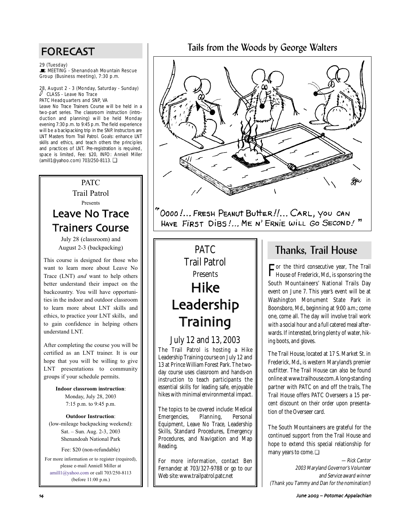## FORECAST

29 (Tuesday)<br>■ MEETING - Shenandoah Mountain Rescue Group (Business meeting), 7:30 p.m.

### 28, August 2 - 3 (Monday, Saturday - Sunday)  $\ell$  CLASS - Leave No Trace PATC Headquarters and SNP, VA

Leave No Trace Trainers Course will be held in a two-part series. The classroom instruction (introduction and planning) will be held Monday evening 7:30 p.m. to 9:45 p.m. The field experience will be a backpacking trip in the SNP. Instructors are LNT Masters from Trail Patrol. Goals: enhance LNT skills and ethics, and teach others the principles and practices of LNT. Pre-registration is required, space is limited, Fee: \$20, INFO: Anniell Miller (amill1@yahoo.com) 703/250-8113. ❏

### PATC Trail Patrol Presents Leave No Trace Trainers Course

July 28 (classroom) and August 2-3 (backpacking)

This course is designed for those who want to learn more about Leave No Trace (LNT) *and* want to help others better understand their impact on the backcountry. You will have opportunities in the indoor and outdoor classroom to learn more about LNT skills and ethics, to practice your LNT skills, and to gain confidence in helping others understand LNT.

After completing the course you will be certified as an LNT trainer. It is our hope that you will be willing to give LNT presentations to community groups if your schedule permits.

> **Indoor classroom instruction**: Monday, July 28, 2003 7:15 p.m. to 9:45 p.m.

**Outdoor Instruction**: (low-mileage backpacking weekend): Sat. – Sun. Aug. 2-3, 2003 Shenandoah National Park

Fee: \$20 (non-refundable)

For more information or to register (required), please e-mail Anniell Miller at amill1@yahoo.com or call 703/250-8113 (before 11:00 p.m.)

### Tails from the Woods by George Walters



O000!... FRESH PEANUT BUTTER !!... CARL, YOU CAN HAVE FIRST DIBS !... ME N' ERNIE WILL GO SECOND!"

# PATC Trail Patrol **Presents** Hike Leadership **Training**

### July 12 and 13, 2003

The Trail Patrol is hosting a Hike Leadership Training course on July 12 and 13 at Prince William Forest Park. The twoday course uses classroom and hands-on instruction to teach participants the essential skills for leading safe, enjoyable hikes with minimal environmental impact.

The topics to be covered include: Medical Emergencies, Planning, Personal Equipment, Leave No Trace, Leadership Skills, Standard Procedures, Emergency Procedures, and Navigation and Map Reading.

For more information, contact Ben Fernandez at 703/327-9788 or go to our Web site: www.trailpatrol.patc.net

## Thanks, Trail House

For the third consecutive year, The Trail House of Frederick, Md., is sponsoring the South Mountaineers' National Trails Day event on June 7. This year's event will be at Washington Monument State Park in Boonsboro, Md., beginning at 9:00 a.m.; come one, come all. The day will involve trail work with a social hour and a full catered meal afterwards. If interested, bring plenty of water, hiking boots, and gloves.

The Trail House, located at 17 S. Market St. in Frederick, Md., is western Maryland's premier outfitter. The Trail House can also be found online at www.trailhouse.com. A long-standing partner with PATC on and off the trails, The Trail House offers PATC Overseers a 15 percent discount on their order upon presentation of the Overseer card.

The South Mountaineers are grateful for the continued support from the Trail House and hope to extend this special relationship for many years to come. ❏

—Rick Cantor 2003 Maryland Governor's Volunteer and Service award winner (Thank you Tammy and Dan for the nomination!)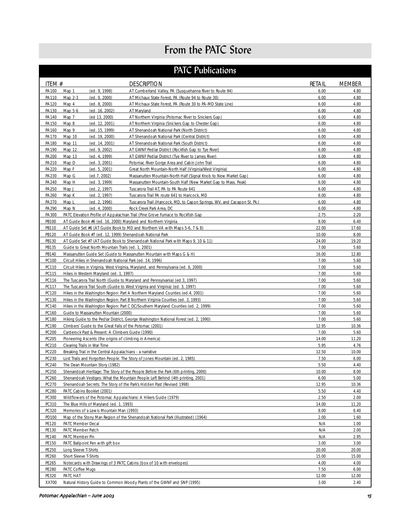# From the PATC Store

## PATC Publications

| ITEM #                    | <b>DESCRIPTION</b>                                                                                                           | RETAIL       | <b>MEMBER</b> |  |  |
|---------------------------|------------------------------------------------------------------------------------------------------------------------------|--------------|---------------|--|--|
| PA100<br>Map 1            | (ed. 9, 1998)<br>AT Cumberland Valley, PA (Susquehanna River to Route 94)                                                    | 6.00         | 4.80          |  |  |
| PA110<br>Map 2-3          | (ed. 9, 2000)<br>AT Michaux State Forest, PA (Route 94 to Route 30)                                                          | 6.00         | 4.80          |  |  |
| PA120<br>Map 4            | (ed. 8, 2000)<br>AT Michaux State Forest, PA (Route 30 to PA-MD State Line)                                                  | 6.00         | 4.80          |  |  |
| PA130<br>Map 5-6          | (ed. 16, 2002)<br>AT Maryland                                                                                                | 6.00         | 4.80          |  |  |
| PA140<br>Map 7            | (ed 13, 2000)<br>AT Northern Virginia (Potomac River to Snickers Gap)                                                        | 6.00         | 4.80          |  |  |
| PA150<br>Map 8            | (ed. 12, 2001)<br>AT Northern Virginia (Snickers Gap to Chester Gap)                                                         | 6.00         | 4.80          |  |  |
| PA160<br>Map 9            | AT Shenandoah National Park (North District)<br>(ed. 15, 1999)                                                               | 6.00         | 4.80          |  |  |
| PA170<br>Map 10           | (ed. 19, 2000)<br>AT Shenandoah National Park (Central District)                                                             | 6.00         | 4.80          |  |  |
| PA180<br>Map 11           | (ed. 14, 2001)<br>AT Shenandoah National Park (South District)                                                               | 6.00         | 4.80          |  |  |
| PA190<br>Map 12           | (ed. 9, 2002)<br>AT GWNF Pedlar District (Rockfish Gap to Tye River)                                                         | 6.00         | 4.80          |  |  |
| PA200<br>Map 13           | (ed. 4, 1999)<br>AT GWNF Pedlar District (Tye River to James River)                                                          | 6.00         | 4.80          |  |  |
| PA210<br>Map D            | (ed. 3, 2001)<br>Potomac River Gorge Area and Cabin John Trail                                                               | 6.00         | 4.80          |  |  |
| PA220<br>Map F            | (ed. 5, 2001)<br>Great North Mountain-North Half (Virginia/West Virginia)                                                    | 6.00         | 4.80          |  |  |
| PA230<br>Map G            | (ed. 7, 2002)<br>Massanutten Mountain-North Half (Signal Knob to New Market Gap)                                             | 6.00         | 4.80          |  |  |
| PA240<br>Map H            | (ed. 3, 1999)<br>Massanutten Mountain-South Half (New Market Gap to Mass. Peak)                                              | 6.00         | 4.80          |  |  |
| PA250<br>Map J            | (ed. 2, 1997)<br>Tuscarora Trail AT, PA to PA Route 641                                                                      | 6.00         | 4.80          |  |  |
| PA260<br>Map K            | (ed. 2, 1997)<br>Tuscarora Trail PA route 641 to Hancock, MD                                                                 | 6.00         | 4.80          |  |  |
| PA270<br>Map <sub>L</sub> | (ed. 2, 1996)<br>Tuscarora Trail (Hancock, MD, to Capon Springs, WV, and Cacapon St. Pk.)                                    | 6.00         | 4.80          |  |  |
| PA290<br>Map N            | (ed. 4, 2000)<br>Rock Creek Park Area, DC<br>PATC Elevation Profile of Appalachian Trail (Pine Grove Furnace to Rockfish Gap | 6.00         | 4.80<br>2.20  |  |  |
| PA300<br>PB100            | AT Guide Book #6 (ed. 16, 2000) Maryland and Northern Virginia                                                               | 2.75<br>8.00 | 6.40          |  |  |
| PB110                     | AT Guide Set #6 (AT Guide Book to MD and Northern VA with Maps 5-6, 7 & 8)                                                   | 22.00        | 17.60         |  |  |
| PB120                     | AT Guide Book #7 (ed. 12, 1999) Shenandoah National Park                                                                     | 10.00        | 8.00          |  |  |
| PB130                     | AT Guide Set #7 (AT Guide Book to Shenandoah National Park with Maps 9, 10 & 11)                                             | 24.00        | 19.20         |  |  |
| PB135                     | Guide to Great North Mountain Trails (ed. 1, 2001)                                                                           | 7.00         | 5.60          |  |  |
| PB140                     | Massanutten Guide Set (Guide to Massanutten Mountain with Maps G & H)                                                        | 16.00        | 12.80         |  |  |
| PC100                     | Circuit Hikes in Shenandoah National Park (ed. 14, 1996)                                                                     | 7.00         | 5.60          |  |  |
| PC110                     | Circuit Hikes in Virginia, West Virginia, Maryland, and Pennsylvania (ed. 6, 2000)                                           | 7.00         | 5.60          |  |  |
| PC115                     | Hikes in Western Maryland (ed. 1, 1997)                                                                                      | 7.00         | 5.60          |  |  |
| PC116                     | The Tuscarora Trail North (Guide to Maryland and Pennsylvania) (ed.3, 1997)                                                  | 7.00         | 5.60          |  |  |
| PC117                     | The Tuscarora Trail South (Guide to West Virginia and Virginia) (ed. 3, 1997)                                                | 7.00         | 5.60          |  |  |
| PC120                     | Hikes in the Washington Region: Part A Northern Maryland Counties (ed.4, 2001)                                               | 7.00         | 5.60          |  |  |
| PC130                     | Hikes in the Washington Region: Part B Northern Virginia Counties (ed. 3, 1993)                                              | 7.00         | 5.60          |  |  |
| PC140                     | Hikes in the Washington Region: Part C DC/Southern Maryland Counties (ed. 2, 1999)                                           | 7.00         | 5.60          |  |  |
| PC160                     | Guide to Massanutten Mountain (2000)                                                                                         | 7.00         | 5.60          |  |  |
| PC180                     | Hiking Guide to the Pedlar District, George Washington National Forest (ed. 2, 1990)                                         | 7.00         | 5.60          |  |  |
| PC190                     | Climbers' Guide to the Great Falls of the Potomac (2001)                                                                     | 12.95        | 10.36         |  |  |
| PC200                     | Carderock Past & Present: A Climbers Guide (1990)                                                                            | 7.00         | 5.60          |  |  |
| PC205                     | Pioneering Ascents (the origins of climbing in America)                                                                      | 14.00        | 11.20         |  |  |
| PC210                     | Clearing Trails in War Time                                                                                                  | 5.95         | 4.76          |  |  |
| PC220                     | Breaking Trail in the Central Appalachians - a narrative                                                                     | 12.50        | 10.00         |  |  |
| PC230                     | Lost Trails and Forgotten People: The Story of Jones Mountain (ed. 2, 1985)                                                  | 7.50         | 6.00          |  |  |
| PC240                     | The Dean Mountain Story (1982)                                                                                               | 5.50         | 4.40          |  |  |
| PC250                     | Shenandoah Heritage: The Story of the People Before the Park (6th printing, 2000)                                            | 10.00        | 8.00          |  |  |
| PC260                     | Shenandoah Vestiges: What the Mountain People Left Behind (4th printing, 2001)                                               | 6.00         | 5.00          |  |  |
| PC270                     | Shenandoah Secrets: The Story of the Park's Hidden Past (Revised 1998)                                                       | 12.95        | 10.36         |  |  |
| PC280                     | PATC Cabins Booklet (2001)                                                                                                   | 5.50         | 4.40          |  |  |
| PC300                     | Wildflowers of the Potomac Appalachians: A Hikers Guide (1979)                                                               | 2.50         | 2.00          |  |  |
| PC310                     | The Blue Hills of Maryland (ed. 1, 1993)                                                                                     | 14.00        | 11.20         |  |  |
| PC320                     | Memories of a Lewis Mountain Man (1993)                                                                                      | 8.00         | 6.40          |  |  |
| PD100                     | Map of the Stony Man Region of the Shenandoah National Park (Illustrated) (1964)                                             | 2.00         | 1.60          |  |  |
| PE120                     | PATC Member Decal                                                                                                            | N/A<br>N/A   | 1.00          |  |  |
| PE130<br>PE140            | PATC Member Patch<br>PATC Member Pin                                                                                         |              | 2.00<br>2.95  |  |  |
| PE150                     | PATC Ballpoint Pen with gift box                                                                                             | N/A<br>3.00  | 3.00          |  |  |
| PE250                     | Long Sleeve T-Shirts                                                                                                         | 20.00        | 20.00         |  |  |
| PE260                     | Short Sleeve T-Shirts                                                                                                        | 15.00        | 15.00         |  |  |
| PE265                     | Notecards with Drawings of 3 PATC Cabins (box of 10 with envelopes)                                                          | 4.00         | 4.00          |  |  |
| PE280                     | PATC Coffee Mugs<br>7.50<br>6.00                                                                                             |              |               |  |  |
| PE320                     | PATC HAT<br>12.00                                                                                                            |              |               |  |  |
| XX700                     | Natural History Guide to Common Woody Plants of the GWNF and SNP (1995)                                                      | 3.00         | 12.00<br>2.40 |  |  |
|                           |                                                                                                                              |              |               |  |  |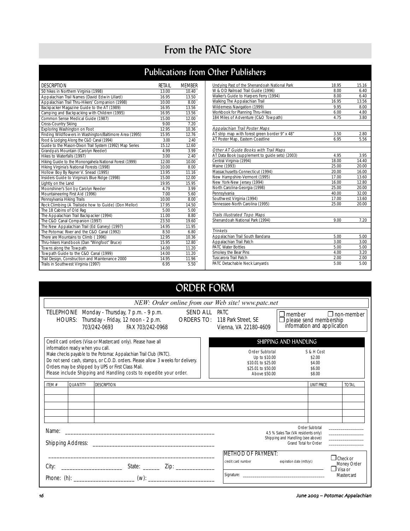# From the PATC Store

# Publications from Other Publishers

| 50 hikes in Northern Virginia (1998)<br>13.00<br>10.40<br>Appalachian Trail Names (David Edwin Lillard)<br>16.95<br>13.50<br>Appalachian Trail Thru-Hikers' Companion (1998)<br>10.00<br>8.00<br>Backpacker Magazine Guide to the AT (1989)<br>16.95<br>13.56<br>Camping and Backpacking with Children (1995)<br>16.95<br>13.56<br>Common Sense Medical Guide (1987)<br>15.00<br>12.00<br>Cross-Country Skiing<br>9.00<br>7.20<br>Exploring Washington on Foot<br>12.95<br>10.36<br>Finding Wildflowers in Washington/Baltimore Area (1995)<br>15.95<br>12.76<br>Food & Lodging Along the C&O Canal (1994)<br>3.00<br>2.40<br>Guide to the Mason-Dixon Trail System (1992) Map Series<br>15.12<br>12.60<br>Grandpa's Mountain (Carolyn Reeder)<br>4.99<br>3.99<br>Hikes to Waterfalls (1997)<br>3.00<br>2.40<br>Hiking Guide to the Monongahela National Forest (1999)<br>12.00<br>10.00<br>Hiking Virginia's National Forests (1998)<br>10.00<br>8.00<br>Hollow Boy By Rayner V. Snead (1995)<br>13.95<br>11.16<br>Insiders Guide to Virginia's Blue Ridge (1998)<br>15.00<br>12.00<br>Lightly on the Land<br>19.95<br>15.95<br>Moonshiner's Son by Carolyn Reeder<br>4.79<br>3.99<br>Mountaineering First Aid (1996)<br>7.00<br>5.60<br>Pennsylvania Hiking Trails<br>10.00<br>8.00<br>Rock Climbing (A Trailside how to Guide) (Don Mellor)<br>17.95<br>14.50<br>The 18 Cabins of Old Rag<br>5.00<br>5.00<br>The Appalachian Trail Backpacker (1994)<br>11.00<br>8.80<br>The C&O Canal Companion (1997)<br>23.50<br>19.60<br>The New Appalachian Trail (Ed Garvey) (1997)<br>11.95<br>14.95<br>The Potomac River and the C&O Canal (1992)<br>8.50<br>6.80<br>There are Mountains to Climb (1996)<br>12.95<br>10.36<br>Thru-hikers Handbook (Dan "Wingfoot" Bruce)<br>15.95<br>12.80<br>Towns along the Towpath<br>14.00<br>11.20<br>Towpath Guide to the C&O Canal (1999)<br>14.00<br>11.20<br>Trail Design, Construction and Maintenance 2000<br>14.95<br>11.96<br>Trails in Southwest Virginia (1997)<br>6.95<br>5.50 | <b>DESCRIPTION</b> | RFTAIL | <b>MFMBFR</b> |
|----------------------------------------------------------------------------------------------------------------------------------------------------------------------------------------------------------------------------------------------------------------------------------------------------------------------------------------------------------------------------------------------------------------------------------------------------------------------------------------------------------------------------------------------------------------------------------------------------------------------------------------------------------------------------------------------------------------------------------------------------------------------------------------------------------------------------------------------------------------------------------------------------------------------------------------------------------------------------------------------------------------------------------------------------------------------------------------------------------------------------------------------------------------------------------------------------------------------------------------------------------------------------------------------------------------------------------------------------------------------------------------------------------------------------------------------------------------------------------------------------------------------------------------------------------------------------------------------------------------------------------------------------------------------------------------------------------------------------------------------------------------------------------------------------------------------------------------------------------------------------------------------------------------------------------------------------------------------------------------------------------------------------|--------------------|--------|---------------|
|                                                                                                                                                                                                                                                                                                                                                                                                                                                                                                                                                                                                                                                                                                                                                                                                                                                                                                                                                                                                                                                                                                                                                                                                                                                                                                                                                                                                                                                                                                                                                                                                                                                                                                                                                                                                                                                                                                                                                                                                                            |                    |        |               |
|                                                                                                                                                                                                                                                                                                                                                                                                                                                                                                                                                                                                                                                                                                                                                                                                                                                                                                                                                                                                                                                                                                                                                                                                                                                                                                                                                                                                                                                                                                                                                                                                                                                                                                                                                                                                                                                                                                                                                                                                                            |                    |        |               |
|                                                                                                                                                                                                                                                                                                                                                                                                                                                                                                                                                                                                                                                                                                                                                                                                                                                                                                                                                                                                                                                                                                                                                                                                                                                                                                                                                                                                                                                                                                                                                                                                                                                                                                                                                                                                                                                                                                                                                                                                                            |                    |        |               |
|                                                                                                                                                                                                                                                                                                                                                                                                                                                                                                                                                                                                                                                                                                                                                                                                                                                                                                                                                                                                                                                                                                                                                                                                                                                                                                                                                                                                                                                                                                                                                                                                                                                                                                                                                                                                                                                                                                                                                                                                                            |                    |        |               |
|                                                                                                                                                                                                                                                                                                                                                                                                                                                                                                                                                                                                                                                                                                                                                                                                                                                                                                                                                                                                                                                                                                                                                                                                                                                                                                                                                                                                                                                                                                                                                                                                                                                                                                                                                                                                                                                                                                                                                                                                                            |                    |        |               |
|                                                                                                                                                                                                                                                                                                                                                                                                                                                                                                                                                                                                                                                                                                                                                                                                                                                                                                                                                                                                                                                                                                                                                                                                                                                                                                                                                                                                                                                                                                                                                                                                                                                                                                                                                                                                                                                                                                                                                                                                                            |                    |        |               |
|                                                                                                                                                                                                                                                                                                                                                                                                                                                                                                                                                                                                                                                                                                                                                                                                                                                                                                                                                                                                                                                                                                                                                                                                                                                                                                                                                                                                                                                                                                                                                                                                                                                                                                                                                                                                                                                                                                                                                                                                                            |                    |        |               |
|                                                                                                                                                                                                                                                                                                                                                                                                                                                                                                                                                                                                                                                                                                                                                                                                                                                                                                                                                                                                                                                                                                                                                                                                                                                                                                                                                                                                                                                                                                                                                                                                                                                                                                                                                                                                                                                                                                                                                                                                                            |                    |        |               |
|                                                                                                                                                                                                                                                                                                                                                                                                                                                                                                                                                                                                                                                                                                                                                                                                                                                                                                                                                                                                                                                                                                                                                                                                                                                                                                                                                                                                                                                                                                                                                                                                                                                                                                                                                                                                                                                                                                                                                                                                                            |                    |        |               |
|                                                                                                                                                                                                                                                                                                                                                                                                                                                                                                                                                                                                                                                                                                                                                                                                                                                                                                                                                                                                                                                                                                                                                                                                                                                                                                                                                                                                                                                                                                                                                                                                                                                                                                                                                                                                                                                                                                                                                                                                                            |                    |        |               |
|                                                                                                                                                                                                                                                                                                                                                                                                                                                                                                                                                                                                                                                                                                                                                                                                                                                                                                                                                                                                                                                                                                                                                                                                                                                                                                                                                                                                                                                                                                                                                                                                                                                                                                                                                                                                                                                                                                                                                                                                                            |                    |        |               |
|                                                                                                                                                                                                                                                                                                                                                                                                                                                                                                                                                                                                                                                                                                                                                                                                                                                                                                                                                                                                                                                                                                                                                                                                                                                                                                                                                                                                                                                                                                                                                                                                                                                                                                                                                                                                                                                                                                                                                                                                                            |                    |        |               |
|                                                                                                                                                                                                                                                                                                                                                                                                                                                                                                                                                                                                                                                                                                                                                                                                                                                                                                                                                                                                                                                                                                                                                                                                                                                                                                                                                                                                                                                                                                                                                                                                                                                                                                                                                                                                                                                                                                                                                                                                                            |                    |        |               |
|                                                                                                                                                                                                                                                                                                                                                                                                                                                                                                                                                                                                                                                                                                                                                                                                                                                                                                                                                                                                                                                                                                                                                                                                                                                                                                                                                                                                                                                                                                                                                                                                                                                                                                                                                                                                                                                                                                                                                                                                                            |                    |        |               |
|                                                                                                                                                                                                                                                                                                                                                                                                                                                                                                                                                                                                                                                                                                                                                                                                                                                                                                                                                                                                                                                                                                                                                                                                                                                                                                                                                                                                                                                                                                                                                                                                                                                                                                                                                                                                                                                                                                                                                                                                                            |                    |        |               |
|                                                                                                                                                                                                                                                                                                                                                                                                                                                                                                                                                                                                                                                                                                                                                                                                                                                                                                                                                                                                                                                                                                                                                                                                                                                                                                                                                                                                                                                                                                                                                                                                                                                                                                                                                                                                                                                                                                                                                                                                                            |                    |        |               |
|                                                                                                                                                                                                                                                                                                                                                                                                                                                                                                                                                                                                                                                                                                                                                                                                                                                                                                                                                                                                                                                                                                                                                                                                                                                                                                                                                                                                                                                                                                                                                                                                                                                                                                                                                                                                                                                                                                                                                                                                                            |                    |        |               |
|                                                                                                                                                                                                                                                                                                                                                                                                                                                                                                                                                                                                                                                                                                                                                                                                                                                                                                                                                                                                                                                                                                                                                                                                                                                                                                                                                                                                                                                                                                                                                                                                                                                                                                                                                                                                                                                                                                                                                                                                                            |                    |        |               |
|                                                                                                                                                                                                                                                                                                                                                                                                                                                                                                                                                                                                                                                                                                                                                                                                                                                                                                                                                                                                                                                                                                                                                                                                                                                                                                                                                                                                                                                                                                                                                                                                                                                                                                                                                                                                                                                                                                                                                                                                                            |                    |        |               |
|                                                                                                                                                                                                                                                                                                                                                                                                                                                                                                                                                                                                                                                                                                                                                                                                                                                                                                                                                                                                                                                                                                                                                                                                                                                                                                                                                                                                                                                                                                                                                                                                                                                                                                                                                                                                                                                                                                                                                                                                                            |                    |        |               |
|                                                                                                                                                                                                                                                                                                                                                                                                                                                                                                                                                                                                                                                                                                                                                                                                                                                                                                                                                                                                                                                                                                                                                                                                                                                                                                                                                                                                                                                                                                                                                                                                                                                                                                                                                                                                                                                                                                                                                                                                                            |                    |        |               |
|                                                                                                                                                                                                                                                                                                                                                                                                                                                                                                                                                                                                                                                                                                                                                                                                                                                                                                                                                                                                                                                                                                                                                                                                                                                                                                                                                                                                                                                                                                                                                                                                                                                                                                                                                                                                                                                                                                                                                                                                                            |                    |        |               |
|                                                                                                                                                                                                                                                                                                                                                                                                                                                                                                                                                                                                                                                                                                                                                                                                                                                                                                                                                                                                                                                                                                                                                                                                                                                                                                                                                                                                                                                                                                                                                                                                                                                                                                                                                                                                                                                                                                                                                                                                                            |                    |        |               |
|                                                                                                                                                                                                                                                                                                                                                                                                                                                                                                                                                                                                                                                                                                                                                                                                                                                                                                                                                                                                                                                                                                                                                                                                                                                                                                                                                                                                                                                                                                                                                                                                                                                                                                                                                                                                                                                                                                                                                                                                                            |                    |        |               |
|                                                                                                                                                                                                                                                                                                                                                                                                                                                                                                                                                                                                                                                                                                                                                                                                                                                                                                                                                                                                                                                                                                                                                                                                                                                                                                                                                                                                                                                                                                                                                                                                                                                                                                                                                                                                                                                                                                                                                                                                                            |                    |        |               |
|                                                                                                                                                                                                                                                                                                                                                                                                                                                                                                                                                                                                                                                                                                                                                                                                                                                                                                                                                                                                                                                                                                                                                                                                                                                                                                                                                                                                                                                                                                                                                                                                                                                                                                                                                                                                                                                                                                                                                                                                                            |                    |        |               |
|                                                                                                                                                                                                                                                                                                                                                                                                                                                                                                                                                                                                                                                                                                                                                                                                                                                                                                                                                                                                                                                                                                                                                                                                                                                                                                                                                                                                                                                                                                                                                                                                                                                                                                                                                                                                                                                                                                                                                                                                                            |                    |        |               |
|                                                                                                                                                                                                                                                                                                                                                                                                                                                                                                                                                                                                                                                                                                                                                                                                                                                                                                                                                                                                                                                                                                                                                                                                                                                                                                                                                                                                                                                                                                                                                                                                                                                                                                                                                                                                                                                                                                                                                                                                                            |                    |        |               |
|                                                                                                                                                                                                                                                                                                                                                                                                                                                                                                                                                                                                                                                                                                                                                                                                                                                                                                                                                                                                                                                                                                                                                                                                                                                                                                                                                                                                                                                                                                                                                                                                                                                                                                                                                                                                                                                                                                                                                                                                                            |                    |        |               |
|                                                                                                                                                                                                                                                                                                                                                                                                                                                                                                                                                                                                                                                                                                                                                                                                                                                                                                                                                                                                                                                                                                                                                                                                                                                                                                                                                                                                                                                                                                                                                                                                                                                                                                                                                                                                                                                                                                                                                                                                                            |                    |        |               |
|                                                                                                                                                                                                                                                                                                                                                                                                                                                                                                                                                                                                                                                                                                                                                                                                                                                                                                                                                                                                                                                                                                                                                                                                                                                                                                                                                                                                                                                                                                                                                                                                                                                                                                                                                                                                                                                                                                                                                                                                                            |                    |        |               |
|                                                                                                                                                                                                                                                                                                                                                                                                                                                                                                                                                                                                                                                                                                                                                                                                                                                                                                                                                                                                                                                                                                                                                                                                                                                                                                                                                                                                                                                                                                                                                                                                                                                                                                                                                                                                                                                                                                                                                                                                                            |                    |        |               |
|                                                                                                                                                                                                                                                                                                                                                                                                                                                                                                                                                                                                                                                                                                                                                                                                                                                                                                                                                                                                                                                                                                                                                                                                                                                                                                                                                                                                                                                                                                                                                                                                                                                                                                                                                                                                                                                                                                                                                                                                                            |                    |        |               |

| Undying Past of the Shenandoah National Park   | 18.95 | 15.16 |
|------------------------------------------------|-------|-------|
| W & OD Railroad Trail Guide (1996)             | 8.00  | 6.40  |
| Walker's Guide to Harpers Ferry (1994)         | 8.00  | 6.40  |
| Walking The Appalachian Trail                  | 16.95 | 13.56 |
| Wilderness Navigation (1999)                   | 9.95  | 8.00  |
| Workbook for Planning Thru-Hikes               | 6.00  | 4.80  |
| 184 Miles of Adventure (C&O Towpath)           | 4.75  | 3.80  |
|                                                |       |       |
| Appalachian Trail Poster Maps                  |       |       |
| AT strip map with forest green border 9" x 48" | 3.50  | 2.80  |
| AT Poster Map, Eastern Coastline               | 6.95  | 5.56  |
|                                                |       |       |
| Other AT Guide Books with Trail Maps           |       |       |
| AT Data Book (supplement to quide sets) (2003) | 4.95  | 3.95  |
| Central Virginia (1994)                        | 18.00 | 14.40 |
| Maine (1993)                                   | 25.00 | 20.00 |
| Massachusetts-Connecticut (1994)               | 20.00 | 16.00 |
| New Hampshire-Vermont (1995)                   | 17.00 | 13.60 |
| New York-New Jersey (1994)                     | 16.00 | 12.80 |
| North Carolina-Georgia (1998)                  | 25.00 | 20.00 |
| Pennsylvania                                   | 40.00 | 32.00 |
| Southwest Virginia (1994)                      | 17.00 | 13.60 |
| Tennessee-North Carolina (1995)                | 25.00 | 20.00 |
|                                                |       |       |
| <b>Trails Illustrated Topo Maps</b>            |       |       |
| Shenandoah National Park (1994)                | 9.00  | 7.20  |
|                                                |       |       |
| <b>Trinkets</b>                                |       |       |
| Appalachian Trail South Bandana                | 5.00  | 5.00  |
| Appalachian Trail Patch                        | 3.00  | 3.00  |
| <b>PATC Water Bottles</b>                      | 5.00  | 5.00  |
| Smokey the Bear Pins                           | 4.00  | 3.20  |
| Tuscarora Trail Patch                          | 2.00  | 2.00  |
| PATC Detachable Neck Lanyards                  | 5.00  | 5.00  |
|                                                |       |       |

# ORDER FORM

|                                                                                       |                                                                                                                                                                                                                                      |                                           | NEW: Order online from our Web site! www.patc.net                                                   |                                                                                                                     |                                   |  |
|---------------------------------------------------------------------------------------|--------------------------------------------------------------------------------------------------------------------------------------------------------------------------------------------------------------------------------------|-------------------------------------------|-----------------------------------------------------------------------------------------------------|---------------------------------------------------------------------------------------------------------------------|-----------------------------------|--|
| TELEPHONE Monday - Thursday, 7 p.m. - 9 p.m.                                          | HOURS: Thursday - Friday, 12 noon - 2 p.m.<br>703/242-0693 FAX 703/242-0968                                                                                                                                                          | <b>SEND ALL PATC</b><br><b>ORDERS TO:</b> | 118 Park Street, SE<br>Vienna, VA 22180-4609                                                        | $\Box$ member<br>please send membership<br>information and application                                              | $\Box$ non-member                 |  |
| Credit card orders (Visa or Mastercard only). Please have all                         |                                                                                                                                                                                                                                      |                                           |                                                                                                     | SHIPPING AND HANDLING                                                                                               |                                   |  |
| information ready when you call.<br>Orders may be shipped by UPS or First Class Mail. | Make checks payable to the Potomac Appalachian Trail Club (PATC).<br>Do not send cash, stamps, or C.O.D. orders. Please allow 3 weeks for delivery.<br>Please include Shipping and Handling costs to expedite your order.            |                                           | <b>Order Subtotal</b><br>Up to \$10.00<br>\$10.01 to \$25.00<br>\$25.01 to \$50.00<br>Above \$50.00 | S & H Cost<br>\$2.00<br>\$4.00<br>\$6.00<br>\$8.00                                                                  |                                   |  |
| <b>QUANTITY</b><br>ITEM #                                                             | <b>DESCRIPTION</b>                                                                                                                                                                                                                   |                                           |                                                                                                     | <b>UNIT PRICE</b>                                                                                                   | <b>TOTAL</b>                      |  |
|                                                                                       |                                                                                                                                                                                                                                      |                                           |                                                                                                     |                                                                                                                     |                                   |  |
|                                                                                       |                                                                                                                                                                                                                                      |                                           |                                                                                                     |                                                                                                                     |                                   |  |
|                                                                                       |                                                                                                                                                                                                                                      |                                           |                                                                                                     |                                                                                                                     |                                   |  |
| Name:                                                                                 | <u> 1989 - John Harry Harry Harry Harry Harry Harry Harry Harry Harry Harry Harry Harry Harry Harry Harry Harry Harry Harry Harry Harry Harry Harry Harry Harry Harry Harry Harry Harry Harry Harry Harry Harry Harry Harry Harr</u> |                                           |                                                                                                     | Order Subtotal<br>4.5 % Sales Tax (VA residents only)<br>Shipping and Handling (see above)<br>Grand Total for Order | and the company of the company of |  |
|                                                                                       |                                                                                                                                                                                                                                      |                                           | <b>METHOD OF PAYMENT:</b><br>credit card number                                                     |                                                                                                                     | $\Box$ Check or                   |  |
|                                                                                       |                                                                                                                                                                                                                                      |                                           |                                                                                                     | expiration date (mth/yr.)                                                                                           | Money Order<br>$\Box$ Visa or     |  |
|                                                                                       |                                                                                                                                                                                                                                      |                                           |                                                                                                     |                                                                                                                     | Mastercard                        |  |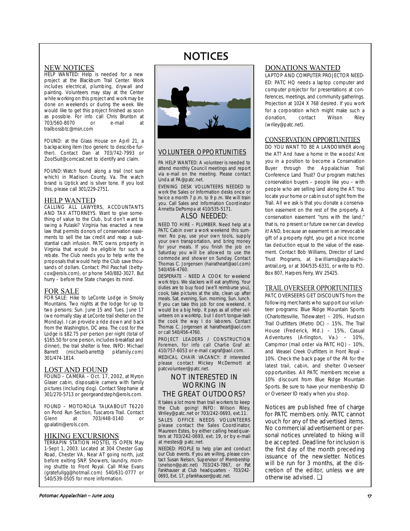## NOTICES

### NEW NOTICES

**HELP WANTED:** Help is needed for a new project at the Blackburn Trail Center. Work includes electrical, plumbing, drywall and painting. Volunteers may stay at the Center while working on this project and work may be done on weekends or during the week. We would like to get this project finished as soon as possible. For info call Chris Brunton at<br>703/560-8070 or e-mail at 703/560-8070 or e-mail at trailbossbtc@msn.com

FOUND: at the Glass House on April 21, a backpacking item (too generic to describe further). Contact Dan at 703/742-7993 or ZootSuit@comcast.net to identify and claim.

FOUND: Watch found along a trail (not sure which) in Madison County, Va. The watch brand is Uptick and is silver tone. If you lost this, please call 301/229-2751.

### HELP WANTED

CALLING ALL LAWYERS, ACCOUNTANTS AND TAX ATTORNEYS. Want to give something of value to the Club, but don't want to swing a Pulaski? Virginia has enacted a new law that permits donors of conservation easements to sell the tax credit and reap a substantial cash infusion. PATC owns property in Virginia that would be eligible for such a rebate. The Club needs you to help write the proposals that would help the Club save thousands of dollars. Contact: Phil Paschall (bettycox@erols.com), or phone 540/882-3027. But hurry – before the State changes its mind.

### FOR SALE

**FOR SALE:** Hike to LeConte Lodge in Smoky Mountains. Two nights at the lodge for up to two persons: Sun. June 15 and Tues. June 17 (we normally stay at LeConte trail shelter on the Monday). I can provide a ride down and back from the Washington, DC area. The cost for the Lodge is \$82.75 per person per night (total of \$165.50 for one person, includes breakfast and dinner), the trail shelter is free. INFO: Michael Barrett (michaelbarrett@ pkfamily.com) 301/474-1814.

### LOST AND FOUND

FOUND – CAMERA – Oct. 17, 2002, at Myron Glaser cabin, disposable camera with family pictures (including dog). Contact Stephanie at 301/270-5713 or georgeandsteph@erols.com.

FOUND – MOTOROLA TALKABOUT T6220 on Pond Run Section, Tuscarora Trail. Contact Glenn at 703/448-0140 or gpalatini@erols.com.

### HIKING EXCURSIONS

**TERRAPIN STATION HOSTEL IS OPEN May** 1-Sept 1, 2003. Located at 304 Chester Gap Road, Chester VA, Near AT going north, just before exiting SNP. Showers, laundry, morning shuttle to Front Royal. Call Mike Evans (gratefullgg@hotmail.com) 540/631-0777 or 540/539-0505 for more information.



### VOLUNTEER OPPORTUNITIES

PA HELP WANTED: A volunteer is needed to attend monthly Council meetings and report via e-mail on the meeting. Please contact Linda at PA@patc.net.

EVENING DESK VOLUNTEERS NEEDED to work the Sales or Information desks once or twice a month 7 p.m. to 9 p.m. We will train you. Call Sales and Information Coordinator Annetta DePompa at 410/535-5171.

### ALSO NEEDED:

NEED TO HIRE – PLUMBER. Need help at a PATC Cabin over a work weekend this summer. No pay, use your own tools, supply your own transportation, and bring money for your meals. If you finish the job on Saturday you will be allowed to use the commode and shower on Sunday. Contact Thomas C. Jorgensen (hairatheart@aol.com) 540/456-4760.

DESPERATE - NEED A COOK for weekend work trips. We slackers will eat anything. Your duties are to buy food (we'll reimburse you), cook, take pictures at the site, clean up after meals. Sat. evening, Sun. morning, Sun. lunch. If you can take this job for one weekend, it would be a big help. It pays as all other volunteers on a worktrip, but I don't tongue-lash the cook the way I do laborers. Contact Thomas C. Jorgensen at hairatheart@aol.com or call 540/456-4760.

PROJECT LEADERS / CONSTRUCTION Foremen, for info call Charlie Graf at: 410/757-6053 or e-mail cagraf@aol.com. MEDICAL CHAIR VACANCY: If interested please contact Mickey McDermott at

patcvolunteer@patc.net.

### NOT INTERESTED IN WORKING IN THE GREAT OUTDOORS?

It takes a lot more than trail workers to keep the Club going! INFO: Wilson Riley, Wriley@patc.net or 703/242-0693, ext.11.

SALES OFFICE NEEDS VOLUNTEERS please contact the Sales Coordinator, Maureen Estes, by either calling headquarters at 703/242-0693, ext. 19, or by e-mail at mestes@ patc.net.

NEEDED: PEOPLE to help plan and conduct our Club events. If you are willing, please contact Susan Nelson, Supervisor of Membership (snelson@patc.net) 703/243-7867, or Pat Fankhauser at Club headquarters - 703/242- 0693, Ext. 17, pfankhauser@patc.net.

### DONATIONS WANTED LAPTOP AND COMPUTER PROJECTOR NEED-

ED: PATC HQ needs a laptop computer and computer projector for presentations at conferences, meetings, and community gatherings. Projection at 1024 X 768 desired. If you work for a corporation which might make such a donation, contact Wilson Riley (wriley@patc.net).

### CONSERVATION OPPORTUNITIES

DO YOU WANT TO BE A LANDOWNER along the AT? And have a home in the woods! Are you in a position to become a Conservation Buyer through the Appalachian Trail Conference Land Trust? Our program matches conservation buyers – people like you – with people who are selling land along the AT. You locate your home or cabin out of sight from the Trail. All we ask is that you donate a conservation easement on the rest of the property. A conservation easement "runs with the land;" that is, no present or future owner can develop it! AND, because an easement is an irrevocable gift of a property right, you get a nice income tax deduction equal to the value of the easement. Contact Bob Williams, Director of Land Trust Programs, at bwilliams@appalachiantrail.org, or at 304/535-6331, or write to P.O. Box 807, Harpers Ferry, WV 25425.

### TRAIL OVERSEER OPPORTUNITIES

PATC OVERSEERS GET DISCOUNTS from the following merchants who support our volunteer programs: Blue Ridge Mountain Sports (Charlottesville, Tidewater) – 20%, Hudson Trail Outfitters (Metro DC) – 15%, The Trail House (Frederick, Md.) – 15%, Casual Adventures (Arlington, Va.) – 10%, Campmor (mail order via PATC HQ) – 10%, and Weasel Creek Outfitters in Front Royal – 10%. Check the back page of the PA for the latest trail, cabin, and shelter Overseer opportunities. All PATC members receive a 10% discount from Blue Ridge Mountain Sports. Be sure to have your membership ID or Overseer ID ready when you shop.

Notices are published free of charge for PATC members only. PATC cannot vouch for any of the advertised items. No commercial advertisement or personal notices unrelated to hiking will be accepted. Deadline for inclusion is the first day of the month preceding issuance of the newsletter. Notices will be run for 3 months, at the discretion of the editor, unless we are otherwise advised. ❏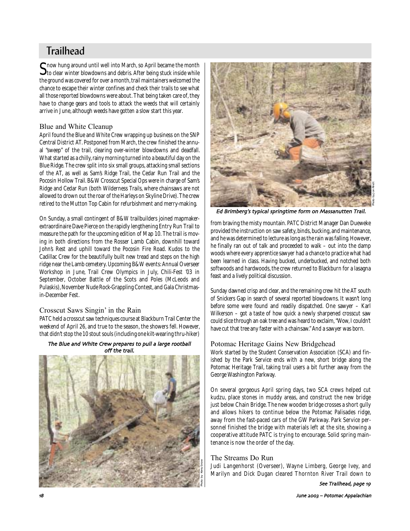## **Trailhead**

Show hung around until well into March, so April became the month<br>to clear winter blowdowns and debris. After being stuck inside while the ground was covered for over a month, trail maintainers welcomed the chance to escape their winter confines and check their trails to see what all those reported blowdowns were about. That being taken care of, they have to change gears and tools to attack the weeds that will certainly arrive in June, although weeds have gotten a slow start this year.

### Blue and White Cleanup

April found the Blue and White Crew wrapping up business on the SNP Central District AT. Postponed from March, the crew finished the annual "sweep" of the trail, clearing over-winter blowdowns and deadfall. What started as a chilly, rainy morning turned into a beautiful day on the Blue Ridge. The crew split into six small groups, attacking small sections of the AT, as well as Sam's Ridge Trail, the Cedar Run Trail and the Pocosin Hollow Trail. B&W Crosscut Special Ops were in charge of Sam's Ridge and Cedar Run (both Wilderness Trails, where chainsaws are not allowed to drown out the roar of the Harleys on Skyline Drive). The crew retired to the Mutton Top Cabin for refurbishment and merry-making.

On Sunday, a small contingent of B&W trailbuilders joined mapmakerextraordinaire Dave Pierce on the rapidly lengthening Entry Run Trail to measure the path for the upcoming edition of Map 10. The trail is moving in both directions from the Rosser Lamb Cabin, downhill toward John's Rest and uphill toward the Pocosin Fire Road. Kudos to the Cadillac Crew for the beautifully built new tread and steps on the high ridge near the Lamb cemetery. Upcoming B&W events: Annual Overseer Workshop in June, Trail Crew Olympics in July, Chili-Fest '03 in September, October Battle of the Scots and Poles (McLeods and Pulaskis), November Nude Rock-Grappling Contest, and Gala Christmasin-December Fest.

### Crosscut Saws Singin' in the Rain

PATC held a crosscut saw techniques course at Blackburn Trail Center the weekend of April 26, and true to the season, the showers fell. However, that didn't stop the 10 stout souls (including one kilt-wearing thru-hiker)

### The Blue and White Crew prepares to pull a large rootball off the trail





Ed Brimberg's typical springtime form on Massanutten Trail

from braving the misty mountain. PATC District Manager Dan Dueweke provided the instruction on saw safety, binds, bucking, and maintenance, and he was determined to lecture as long as the rain was falling. However, he finally ran out of talk and proceeded to walk – out into the damp woods where every apprentice sawyer had a chance to practice what had been learned in class. Having bucked, underbucked, and notched both softwoods and hardwoods, the crew returned to Blackburn for a lasagna feast and a lively political discussion.

Sunday dawned crisp and clear, and the remaining crew hit the AT south of Snickers Gap in search of several reported blowdowns. It wasn't long before some were found and readily dispatched. One sawyer – Karl Wilkerson – got a taste of how quick a newly sharpened crosscut saw could slice through an oak tree and was heard to exclaim, "Wow, I couldn't have cut that tree any faster with a chainsaw." And a sawyer was born.

### Potomac Heritage Gains New Bridgehead

Work started by the Student Conservation Association (SCA) and finished by the Park Service ends with a new, short bridge along the Potomac Heritage Trail, taking trail users a bit further away from the George Washington Parkway.

On several gorgeous April spring days, two SCA crews helped cut kudzu, place stones in muddy areas, and construct the new bridge just below Chain Bridge. The new wooden bridge crosses a short gully and allows hikers to continue below the Potomac Palisades ridge, away from the fast-paced cars of the GW Parkway. Park Service personnel finished the bridge with materials left at the site, showing a cooperative attitude PATC is trying to encourage. Solid spring maintenance is now the order of the day.

### The Streams Do Run

Judi Langenhorst (Overseer), Wayne Limberg, George Ivey, and Marilyn and Dick Dugan cleared Thornton River Trail down to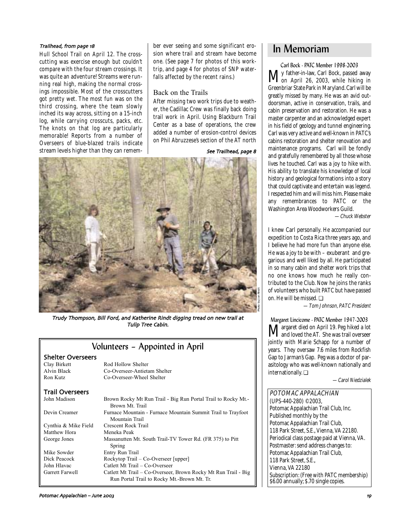Hull School Trail on April 12. The crosscutting was exercise enough but couldn't compare with the four stream crossings. It was quite an adventure! Streams were running real high, making the normal crossings impossible. Most of the crosscutters got pretty wet. The most fun was on the third crossing, where the team slowly inched its way across, sitting on a 15-inch log, while carrying crosscuts, packs, etc. The knots on that log are particularly memorable! Reports from a number of Overseers of blue-blazed trails indicate stream levels higher than they can remem-

ber ever seeing and some significant ero-*Trailhead, from page 18*<br>Hull School Trail on April 12. The cross- sion where trail and stream have become **In Memoriam** one. (See page 7 for photos of this worktrip, and page 4 for photos of SNP waterfalls affected by the recent rains.)

### Back on the Trails

After missing two work trips due to weather, the Cadillac Crew was finally back doing trail work in April. Using Blackburn Trail Center as a base of operations, the crew added a number of erosion-control devices on Phil Abruzzese's section of the AT north



Photo by Jon Rindt

Trudy Thompson, Bill Ford, and Katherine Rindt digging tread on new trail at Tulip Tree Cabin

### Volunteers – Appointed in April

| <b>Shelter Overseers</b> |                                                                                 |
|--------------------------|---------------------------------------------------------------------------------|
| Clay Birkett             | Rod Hollow Shelter                                                              |
| Alvin Black              | Co-Overseer-Antietam Shelter                                                    |
| Ron Kutz                 | Co-Overseer-Wheel Shelter                                                       |
| <b>Trail Overseers</b>   |                                                                                 |
| John Madison             | Brown Rocky Mt Run Trail - Big Run Portal Trail to Rocky Mt.<br>Brown Mt. Trail |
| Devin Creamer            | Furnace Mountain - Furnace Mountain Summit Trail to Trayfoot<br>Mountain Trail  |
| Cynthia & Mike Field     | Crescent Rock Trail                                                             |
| Matthew Hora             | Meneka Peak                                                                     |
| George Jones             | Massanutten Mt. South Trail-TV Tower Rd. (FR 375) to Pitt                       |

Tower Rd. (FR 375) to Pitt Spring Mike Sowder Entry Run Trail Dick Peacock Rockytop Trail – Co-Overseer [upper] John Hlavac Catlett Mt Trail – Co-Overseer Garrett Farwell Catlett Mt Trail - Co-Overseer, Brown Rocky Mt Run Trail - Big Run Portal Trail to Rocky Mt.-Brown Mt. Tr.

Carl Bock - PATC Member 1998-2003 My father-in-law, Carl Bock, passed away on April 26, 2003, while hiking in Greenbriar State Park in Maryland. Carl will be greatly missed by many. He was an avid outdoorsman, active in conservation, trails, and cabin preservation and restoration. He was a master carpenter and an acknowledged expert in his field of geology and tunnel engineering. Carl was very active and well-known in PATC's cabins restoration and shelter renovation and maintenance programs. Carl will be fondly and gratefully remembered by all those whose lives he touched. Carl was a joy to hike with. His ability to translate his knowledge of local history and geological formations into a story that could captivate and entertain was legend. I respected him and will miss him. Please make any remembrances to PATC or the Washington Area Woodworkers Guild. —Chuck Webster

I knew Carl personally. He accompanied our expedition to Costa Rica three years ago, and I believe he had more fun than anyone else. He was a joy to be with – exuberant and gregarious and well liked by all. He participated in so many cabin and shelter work trips that no one knows how much he really contributed to the Club. Now he joins the ranks of volunteers who built PATC but have passed on. He will be missed. ❏

—Tom Johnson, PATC President

Margaret Lincicome - PATC Member 1947-2003 **M**argaret died on April 19. Peg hiked a lot<br>and loved the AT. She was trail overseer jointly with Marie Schapp for a number of years. They oversaw 7.6 miles from Rockfish Gap to Jarman's Gap. Peg was a doctor of parasitology who was well-known nationally and internationally. ❏

—Carol Niedzialek

POTOMAC APPALACHIAN (UPS-440-280) ©2003, Potomac Appalachian Trail Club, Inc. Published monthly by the Potomac Appalachian Trail Club, 118 Park Street, S.E., Vienna, VA 22180. Periodical class postage paid at Vienna, VA. Postmaster: send address changes to: Potomac Appalachian Trail Club, 118 Park Street, S.E., Vienna, VA 22180 Subscription: (Free with PATC membership) \$6.00 annually; \$.70 single copies.